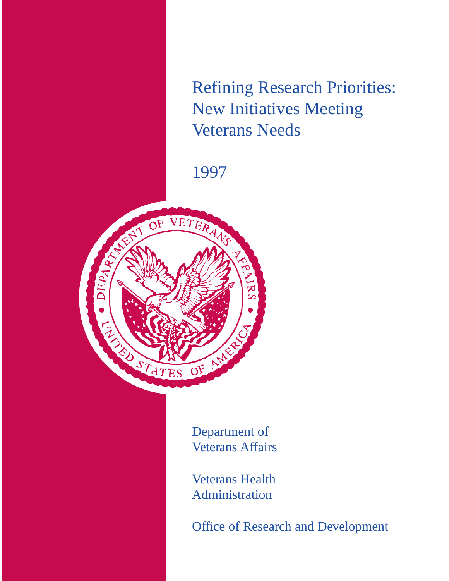Refining Research Priorities: New Initiatives Meeting Veterans Needs

1997



Department of Veterans Affairs

Veterans Health Administration

Office of Research and Development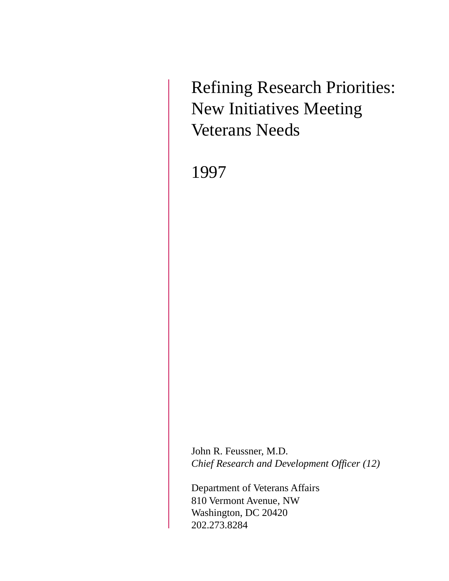Refining Research Priorities: New Initiatives Meeting Veterans Needs

1997

John R. Feussner, M.D. *Chief Research and Development Officer (12)*

Department of Veterans Affairs 810 Vermont Avenue, NW Washington, DC 20420 202.273.8284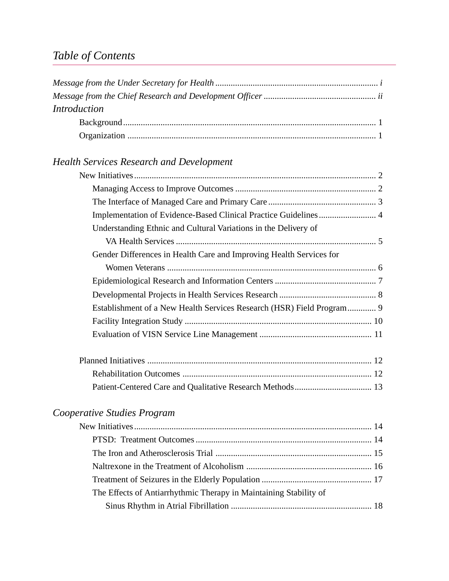# *Table of Contents*

| <b>Introduction</b>                                                   |
|-----------------------------------------------------------------------|
|                                                                       |
|                                                                       |
|                                                                       |
| <b>Health Services Research and Development</b>                       |
|                                                                       |
|                                                                       |
|                                                                       |
| Implementation of Evidence-Based Clinical Practice Guidelines 4       |
| Understanding Ethnic and Cultural Variations in the Delivery of       |
|                                                                       |
| Gender Differences in Health Care and Improving Health Services for   |
|                                                                       |
|                                                                       |
|                                                                       |
| Establishment of a New Health Services Research (HSR) Field Program 9 |
|                                                                       |
|                                                                       |
|                                                                       |
|                                                                       |
|                                                                       |
| Cooperative Studies Program                                           |
|                                                                       |
|                                                                       |

| The Effects of Antiarrhythmic Therapy in Maintaining Stability of |  |
|-------------------------------------------------------------------|--|
|                                                                   |  |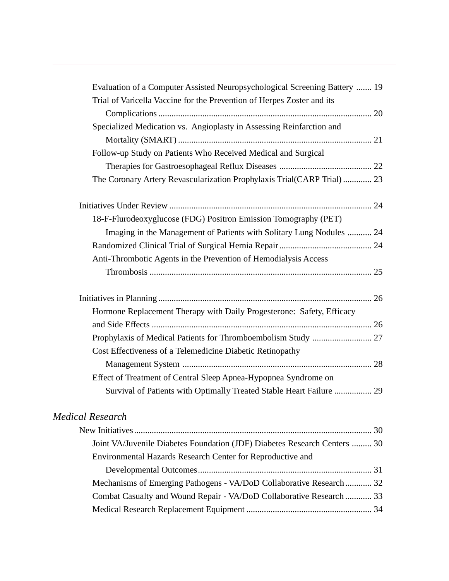| Evaluation of a Computer Assisted Neuropsychological Screening Battery  19                                                              |  |
|-----------------------------------------------------------------------------------------------------------------------------------------|--|
| Trial of Varicella Vaccine for the Prevention of Herpes Zoster and its                                                                  |  |
|                                                                                                                                         |  |
| Specialized Medication vs. Angioplasty in Assessing Reinfarction and                                                                    |  |
|                                                                                                                                         |  |
| Follow-up Study on Patients Who Received Medical and Surgical                                                                           |  |
|                                                                                                                                         |  |
| The Coronary Artery Revascularization Prophylaxis Trial(CARP Trial)  23                                                                 |  |
|                                                                                                                                         |  |
| 18-F-Flurodeoxyglucose (FDG) Positron Emission Tomography (PET)                                                                         |  |
| Imaging in the Management of Patients with Solitary Lung Nodules  24                                                                    |  |
|                                                                                                                                         |  |
| Anti-Thrombotic Agents in the Prevention of Hemodialysis Access                                                                         |  |
|                                                                                                                                         |  |
|                                                                                                                                         |  |
| Hormone Replacement Therapy with Daily Progesterone: Safety, Efficacy                                                                   |  |
|                                                                                                                                         |  |
|                                                                                                                                         |  |
| Cost Effectiveness of a Telemedicine Diabetic Retinopathy                                                                               |  |
|                                                                                                                                         |  |
| Effect of Treatment of Central Sleep Apnea-Hypopnea Syndrome on                                                                         |  |
| Survival of Patients with Optimally Treated Stable Heart Failure  29                                                                    |  |
| <b>Medical Research</b>                                                                                                                 |  |
|                                                                                                                                         |  |
| Joint VA/Juvenile Diabetes Foundation (JDF) Diabetes Research Centers  30<br>Environmental Hazards Research Center for Reproductive and |  |
|                                                                                                                                         |  |

| Mechanisms of Emerging Pathogens - VA/DoD Collaborative Research 32  |  |
|----------------------------------------------------------------------|--|
| Combat Casualty and Wound Repair - VA/DoD Collaborative Research  33 |  |
|                                                                      |  |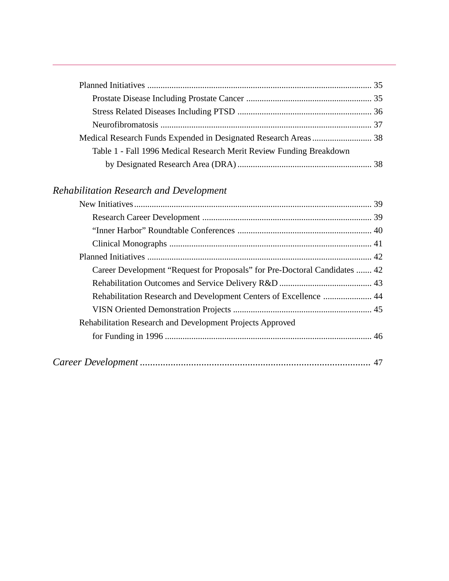| Table 1 - Fall 1996 Medical Research Merit Review Funding Breakdown |  |
|---------------------------------------------------------------------|--|
|                                                                     |  |

## *Rehabilitation Research and Development*

| Career Development "Request for Proposals" for Pre-Doctoral Candidates  42 |  |
|----------------------------------------------------------------------------|--|
|                                                                            |  |
| Rehabilitation Research and Development Centers of Excellence  44          |  |
|                                                                            |  |
| Rehabilitation Research and Development Projects Approved                  |  |
|                                                                            |  |
|                                                                            |  |
|                                                                            |  |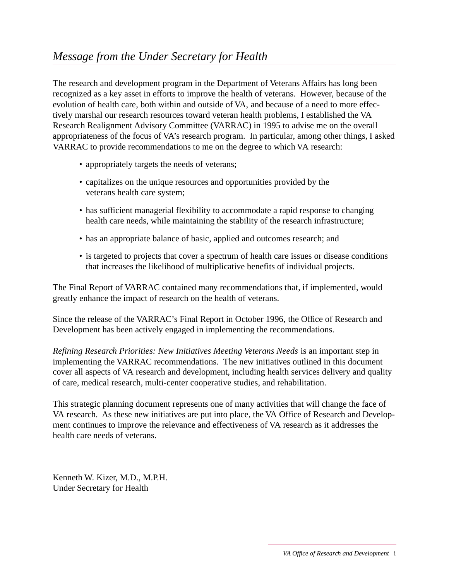The research and development program in the Department of Veterans Affairs has long been recognized as a key asset in efforts to improve the health of veterans. However, because of the evolution of health care, both within and outside of VA, and because of a need to more effectively marshal our research resources toward veteran health problems, I established the VA Research Realignment Advisory Committee (VARRAC) in 1995 to advise me on the overall appropriateness of the focus of VA's research program. In particular, among other things, I asked VARRAC to provide recommendations to me on the degree to which VA research:

- appropriately targets the needs of veterans;
- capitalizes on the unique resources and opportunities provided by the veterans health care system;
- has sufficient managerial flexibility to accommodate a rapid response to changing health care needs, while maintaining the stability of the research infrastructure;
- has an appropriate balance of basic, applied and outcomes research; and
- is targeted to projects that cover a spectrum of health care issues or disease conditions that increases the likelihood of multiplicative benefits of individual projects.

The Final Report of VARRAC contained many recommendations that, if implemented, would greatly enhance the impact of research on the health of veterans.

Since the release of the VARRAC's Final Report in October 1996, the Office of Research and Development has been actively engaged in implementing the recommendations.

*Refining Research Priorities: New Initiatives Meeting Veterans Needs* is an important step in implementing the VARRAC recommendations. The new initiatives outlined in this document cover all aspects of VA research and development, including health services delivery and quality of care, medical research, multi-center cooperative studies, and rehabilitation.

This strategic planning document represents one of many activities that will change the face of VA research. As these new initiatives are put into place, the VA Office of Research and Development continues to improve the relevance and effectiveness of VA research as it addresses the health care needs of veterans.

Kenneth W. Kizer, M.D., M.P.H. Under Secretary for Health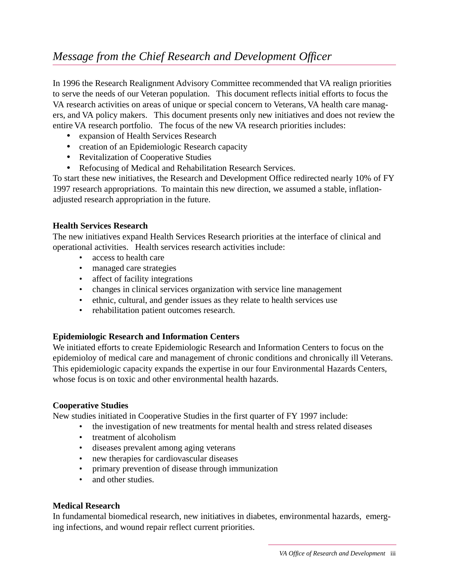In 1996 the Research Realignment Advisory Committee recommended that VA realign priorities to serve the needs of our Veteran population. This document reflects initial efforts to focus the VA research activities on areas of unique or special concern to Veterans, VA health care managers, and VA policy makers. This document presents only new initiatives and does not review the entire VA research portfolio. The focus of the new VA research priorities includes:

- expansion of Health Services Research
- creation of an Epidemiologic Research capacity
- Revitalization of Cooperative Studies
- Refocusing of Medical and Rehabilitation Research Services.

To start these new initiatives, the Research and Development Office redirected nearly 10% of FY 1997 research appropriations. To maintain this new direction, we assumed a stable, inflationadjusted research appropriation in the future.

#### **Health Services Research**

The new initiatives expand Health Services Research priorities at the interface of clinical and operational activities. Health services research activities include:

- access to health care
- managed care strategies
- affect of facility integrations
- changes in clinical services organization with service line management
- ethnic, cultural, and gender issues as they relate to health services use
- rehabilitation patient outcomes research.

#### **Epidemiologic Research and Information Centers**

We initiated efforts to create Epidemiologic Research and Information Centers to focus on the epidemioloy of medical care and management of chronic conditions and chronically ill Veterans. This epidemiologic capacity expands the expertise in our four Environmental Hazards Centers, whose focus is on toxic and other environmental health hazards.

#### **Cooperative Studies**

New studies initiated in Cooperative Studies in the first quarter of FY 1997 include:

- the investigation of new treatments for mental health and stress related diseases
- treatment of alcoholism
- diseases prevalent among aging veterans
- new therapies for cardiovascular diseases
- primary prevention of disease through immunization
- and other studies.

#### **Medical Research**

In fundamental biomedical research, new initiatives in diabetes, environmental hazards, emerging infections, and wound repair reflect current priorities.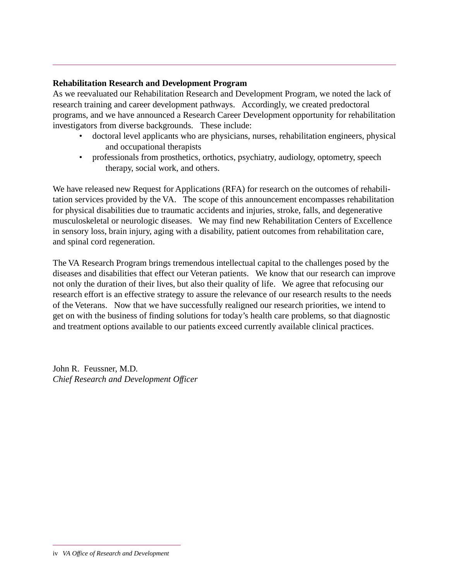#### **Rehabilitation Research and Development Program**

As we reevaluated our Rehabilitation Research and Development Program, we noted the lack of research training and career development pathways. Accordingly, we created predoctoral programs, and we have announced a Research Career Development opportunity for rehabilitation investigators from diverse backgrounds. These include:

- doctoral level applicants who are physicians, nurses, rehabilitation engineers, physical and occupational therapists
- professionals from prosthetics, orthotics, psychiatry, audiology, optometry, speech therapy, social work, and others.

We have released new Request for Applications (RFA) for research on the outcomes of rehabilitation services provided by the VA. The scope of this announcement encompasses rehabilitation for physical disabilities due to traumatic accidents and injuries, stroke, falls, and degenerative musculoskeletal or neurologic diseases. We may find new Rehabilitation Centers of Excellence in sensory loss, brain injury, aging with a disability, patient outcomes from rehabilitation care, and spinal cord regeneration.

The VA Research Program brings tremendous intellectual capital to the challenges posed by the diseases and disabilities that effect our Veteran patients. We know that our research can improve not only the duration of their lives, but also their quality of life. We agree that refocusing our research effort is an effective strategy to assure the relevance of our research results to the needs of the Veterans. Now that we have successfully realigned our research priorities, we intend to get on with the business of finding solutions for today's health care problems, so that diagnostic and treatment options available to our patients exceed currently available clinical practices.

John R. Feussner, M.D. *Chief Research and Development Officer*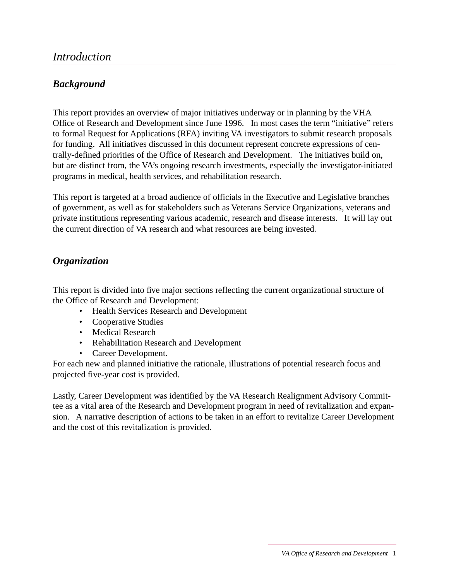#### *Background*

This report provides an overview of major initiatives underway or in planning by the VHA Office of Research and Development since June 1996. In most cases the term "initiative" refers to formal Request for Applications (RFA) inviting VA investigators to submit research proposals for funding. All initiatives discussed in this document represent concrete expressions of centrally-defined priorities of the Office of Research and Development. The initiatives build on, but are distinct from, the VA's ongoing research investments, especially the investigator-initiated programs in medical, health services, and rehabilitation research.

This report is targeted at a broad audience of officials in the Executive and Legislative branches of government, as well as for stakeholders such as Veterans Service Organizations, veterans and private institutions representing various academic, research and disease interests. It will lay out the current direction of VA research and what resources are being invested.

#### *Organization*

This report is divided into five major sections reflecting the current organizational structure of the Office of Research and Development:

- Health Services Research and Development
- Cooperative Studies
- Medical Research
- Rehabilitation Research and Development
- Career Development.

For each new and planned initiative the rationale, illustrations of potential research focus and projected five-year cost is provided.

Lastly, Career Development was identified by the VA Research Realignment Advisory Committee as a vital area of the Research and Development program in need of revitalization and expansion. A narrative description of actions to be taken in an effort to revitalize Career Development and the cost of this revitalization is provided.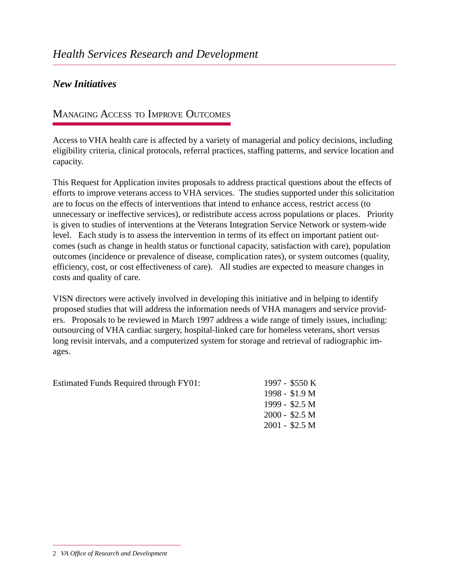#### *New Initiatives*

#### **MANAGING ACCESS TO IMPROVE OUTCOMES**

Access to VHA health care is affected by a variety of managerial and policy decisions, including eligibility criteria, clinical protocols, referral practices, staffing patterns, and service location and capacity.

This Request for Application invites proposals to address practical questions about the effects of efforts to improve veterans access to VHA services. The studies supported under this solicitation are to focus on the effects of interventions that intend to enhance access, restrict access (to unnecessary or ineffective services), or redistribute access across populations or places. Priority is given to studies of interventions at the Veterans Integration Service Network or system-wide level. Each study is to assess the intervention in terms of its effect on important patient outcomes (such as change in health status or functional capacity, satisfaction with care), population outcomes (incidence or prevalence of disease, complication rates), or system outcomes (quality, efficiency, cost, or cost effectiveness of care). All studies are expected to measure changes in costs and quality of care.

VISN directors were actively involved in developing this initiative and in helping to identify proposed studies that will address the information needs of VHA managers and service providers. Proposals to be reviewed in March 1997 address a wide range of timely issues, including: outsourcing of VHA cardiac surgery, hospital-linked care for homeless veterans, short versus long revisit intervals, and a computerized system for storage and retrieval of radiographic images.

| Estimated Funds Required through FY01: | 1997 - \$550 K  |
|----------------------------------------|-----------------|
|                                        | 1998 - \$1.9 M  |
|                                        | 1999 - \$2.5 M  |
|                                        | $2000 - $2.5 M$ |
|                                        | $2001 - $2.5 M$ |
|                                        |                 |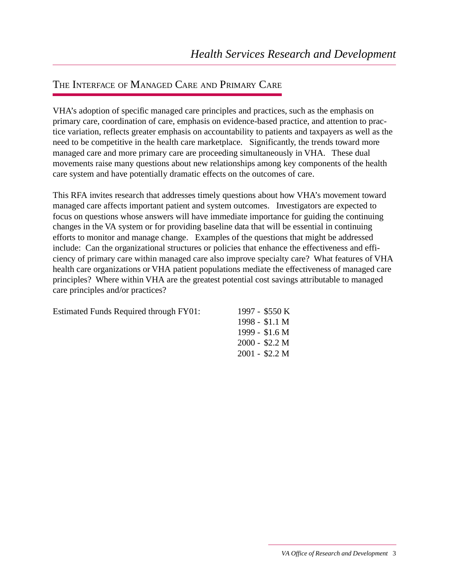### THE INTERFACE OF MANAGED CARE AND PRIMARY CARE

VHA's adoption of specific managed care principles and practices, such as the emphasis on primary care, coordination of care, emphasis on evidence-based practice, and attention to practice variation, reflects greater emphasis on accountability to patients and taxpayers as well as the need to be competitive in the health care marketplace. Significantly, the trends toward more managed care and more primary care are proceeding simultaneously in VHA. These dual movements raise many questions about new relationships among key components of the health care system and have potentially dramatic effects on the outcomes of care.

This RFA invites research that addresses timely questions about how VHA's movement toward managed care affects important patient and system outcomes. Investigators are expected to focus on questions whose answers will have immediate importance for guiding the continuing changes in the VA system or for providing baseline data that will be essential in continuing efforts to monitor and manage change. Examples of the questions that might be addressed include: Can the organizational structures or policies that enhance the effectiveness and efficiency of primary care within managed care also improve specialty care? What features of VHA health care organizations or VHA patient populations mediate the effectiveness of managed care principles? Where within VHA are the greatest potential cost savings attributable to managed care principles and/or practices?

| Estimated Funds Required through FY01: | 1997 - \$550 K  |
|----------------------------------------|-----------------|
|                                        | $1998 - $1.1 M$ |
|                                        | 1999 - $$1.6 M$ |
|                                        | $2000 - $2.2 M$ |
|                                        | $2001 - $2.2 M$ |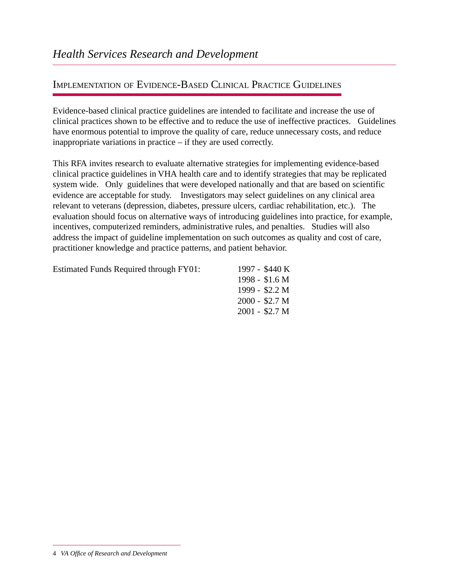### IMPLEMENTATION OF EVIDENCE-BASED CLINICAL PRACTICE GUIDELINES

Evidence-based clinical practice guidelines are intended to facilitate and increase the use of clinical practices shown to be effective and to reduce the use of ineffective practices. Guidelines have enormous potential to improve the quality of care, reduce unnecessary costs, and reduce inappropriate variations in practice – if they are used correctly.

This RFA invites research to evaluate alternative strategies for implementing evidence-based clinical practice guidelines in VHA health care and to identify strategies that may be replicated system wide. Only guidelines that were developed nationally and that are based on scientific evidence are acceptable for study. Investigators may select guidelines on any clinical area relevant to veterans (depression, diabetes, pressure ulcers, cardiac rehabilitation, etc.). The evaluation should focus on alternative ways of introducing guidelines into practice, for example, incentives, computerized reminders, administrative rules, and penalties. Studies will also address the impact of guideline implementation on such outcomes as quality and cost of care, practitioner knowledge and practice patterns, and patient behavior.

| <b>Estimated Funds Required through FY01:</b> | 1997 - \$440 K |
|-----------------------------------------------|----------------|
|-----------------------------------------------|----------------|

|        | 1997 - \$440 K     |
|--------|--------------------|
|        | 1998 - \$1.6 M     |
| 1999 - | \$2.2 M            |
| 2000 - | \$2.7 <sub>M</sub> |
|        | 2001 - \$2.7 M     |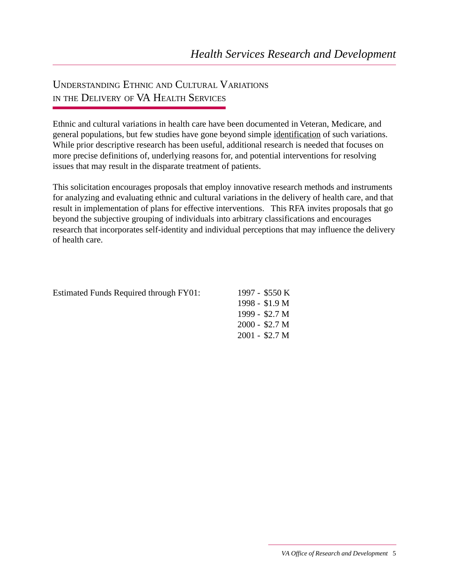## UNDERSTANDING ETHNIC AND CULTURAL VARIATIONS IN THE DELIVERY OF VA HEALTH SERVICES

Ethnic and cultural variations in health care have been documented in Veteran, Medicare, and general populations, but few studies have gone beyond simple identification of such variations. While prior descriptive research has been useful, additional research is needed that focuses on more precise definitions of, underlying reasons for, and potential interventions for resolving issues that may result in the disparate treatment of patients.

This solicitation encourages proposals that employ innovative research methods and instruments for analyzing and evaluating ethnic and cultural variations in the delivery of health care, and that result in implementation of plans for effective interventions. This RFA invites proposals that go beyond the subjective grouping of individuals into arbitrary classifications and encourages research that incorporates self-identity and individual perceptions that may influence the delivery of health care.

| <b>Estimated Funds Required through FY01:</b> | 1997 - \$550 K  |
|-----------------------------------------------|-----------------|
|                                               | $1998 - $1.9 M$ |
|                                               | 1999 - $$2.7M$  |
|                                               | $2000 - $2.7 M$ |
|                                               | $2001 - $2.7 M$ |
|                                               |                 |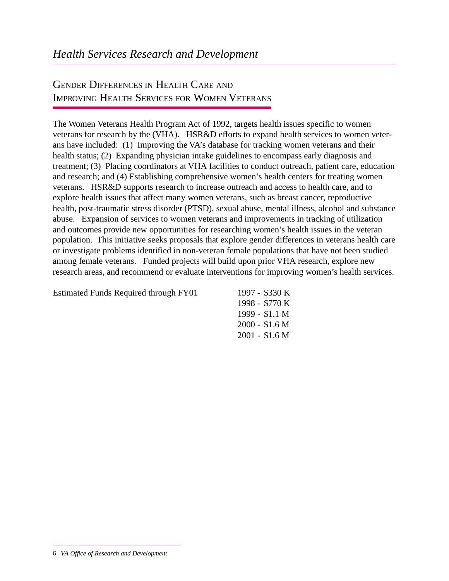## GENDER DIFFERENCES IN HEALTH CARE AND IMPROVING HEALTH SERVICES FOR WOMEN VETERANS

The Women Veterans Health Program Act of 1992, targets health issues specific to women veterans for research by the (VHA). HSR&D efforts to expand health services to women veterans have included: (1) Improving the VA's database for tracking women veterans and their health status; (2) Expanding physician intake guidelines to encompass early diagnosis and treatment; (3) Placing coordinators at VHA facilities to conduct outreach, patient care, education and research; and (4) Establishing comprehensive women's health centers for treating women veterans. HSR&D supports research to increase outreach and access to health care, and to explore health issues that affect many women veterans, such as breast cancer, reproductive health, post-traumatic stress disorder (PTSD), sexual abuse, mental illness, alcohol and substance abuse. Expansion of services to women veterans and improvements in tracking of utilization and outcomes provide new opportunities for researching women's health issues in the veteran population. This initiative seeks proposals that explore gender differences in veterans health care or investigate problems identified in non-veteran female populations that have not been studied among female veterans. Funded projects will build upon prior VHA research, explore new research areas, and recommend or evaluate interventions for improving women's health services.

| Estimated Funds Required through FY01 | 1997 - $$330 K$ |
|---------------------------------------|-----------------|
|                                       | 1998 - \$770 K  |
|                                       | 1999 - \$1.1 M  |
|                                       | $2000 - $1.6 M$ |
|                                       | $2001 - $1.6 M$ |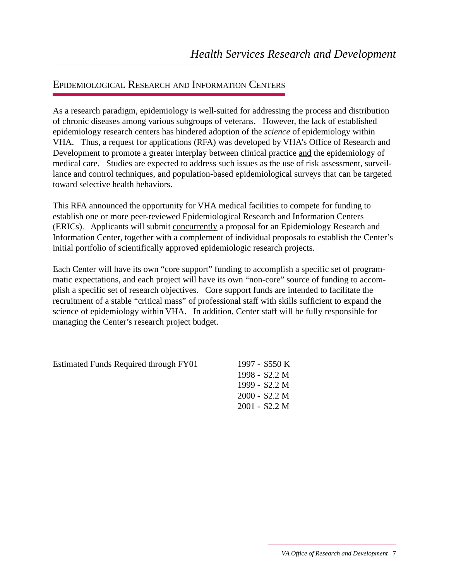#### EPIDEMIOLOGICAL RESEARCH AND INFORMATION CENTERS

As a research paradigm, epidemiology is well-suited for addressing the process and distribution of chronic diseases among various subgroups of veterans. However, the lack of established epidemiology research centers has hindered adoption of the *science* of epidemiology within VHA. Thus, a request for applications (RFA) was developed by VHA's Office of Research and Development to promote a greater interplay between clinical practice and the epidemiology of medical care. Studies are expected to address such issues as the use of risk assessment, surveillance and control techniques, and population-based epidemiological surveys that can be targeted toward selective health behaviors.

This RFA announced the opportunity for VHA medical facilities to compete for funding to establish one or more peer-reviewed Epidemiological Research and Information Centers (ERICs). Applicants will submit concurrently a proposal for an Epidemiology Research and Information Center, together with a complement of individual proposals to establish the Center's initial portfolio of scientifically approved epidemiologic research projects.

Each Center will have its own "core support" funding to accomplish a specific set of programmatic expectations, and each project will have its own "non-core" source of funding to accomplish a specific set of research objectives. Core support funds are intended to facilitate the recruitment of a stable "critical mass" of professional staff with skills sufficient to expand the science of epidemiology within VHA. In addition, Center staff will be fully responsible for managing the Center's research project budget.

Estimated Funds Required through FY01

|        | 1997 - \$550 K     |
|--------|--------------------|
|        | 1998 - \$2.2 M     |
| 1999 - | \$2.2 <sub>M</sub> |
| 2000 - | \$2.2 <sub>M</sub> |
|        | 2001 - \$2.2 M     |
|        |                    |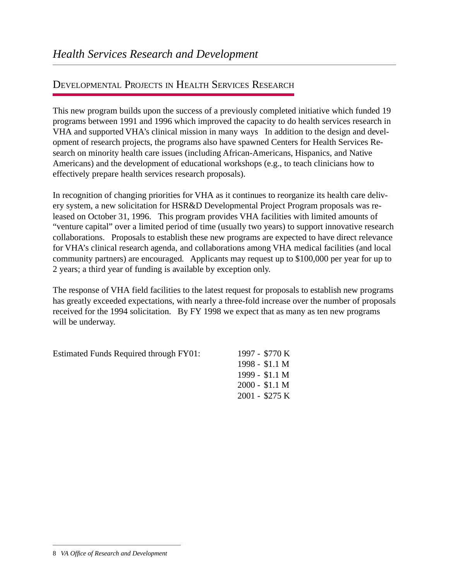### DEVELOPMENTAL PROJECTS IN HEALTH SERVICES RESEARCH

This new program builds upon the success of a previously completed initiative which funded 19 programs between 1991 and 1996 which improved the capacity to do health services research in VHA and supported VHA's clinical mission in many ways In addition to the design and development of research projects, the programs also have spawned Centers for Health Services Research on minority health care issues (including African-Americans, Hispanics, and Native Americans) and the development of educational workshops (e.g., to teach clinicians how to effectively prepare health services research proposals).

In recognition of changing priorities for VHA as it continues to reorganize its health care delivery system, a new solicitation for HSR&D Developmental Project Program proposals was released on October 31, 1996. This program provides VHA facilities with limited amounts of "venture capital" over a limited period of time (usually two years) to support innovative research collaborations. Proposals to establish these new programs are expected to have direct relevance for VHA's clinical research agenda, and collaborations among VHA medical facilities (and local community partners) are encouraged. Applicants may request up to \$100,000 per year for up to 2 years; a third year of funding is available by exception only.

The response of VHA field facilities to the latest request for proposals to establish new programs has greatly exceeded expectations, with nearly a three-fold increase over the number of proposals received for the 1994 solicitation. By FY 1998 we expect that as many as ten new programs will be underway.

Estimated Funds Required through FY01: 1997 - \$770 K

1998 - \$1.1 M 1999 - \$1.1 M 2000 - \$1.1 M 2001 - \$275 K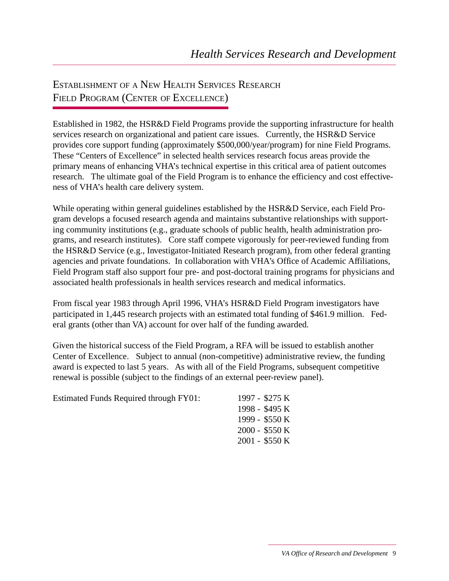## ESTABLISHMENT OF A NEW HEALTH SERVICES RESEARCH FIELD PROGRAM (CENTER OF EXCELLENCE)

Established in 1982, the HSR&D Field Programs provide the supporting infrastructure for health services research on organizational and patient care issues. Currently, the HSR&D Service provides core support funding (approximately \$500,000/year/program) for nine Field Programs. These "Centers of Excellence" in selected health services research focus areas provide the primary means of enhancing VHA's technical expertise in this critical area of patient outcomes research. The ultimate goal of the Field Program is to enhance the efficiency and cost effectiveness of VHA's health care delivery system.

While operating within general guidelines established by the HSR&D Service, each Field Program develops a focused research agenda and maintains substantive relationships with supporting community institutions (e.g., graduate schools of public health, health administration programs, and research institutes). Core staff compete vigorously for peer-reviewed funding from the HSR&D Service (e.g., Investigator-Initiated Research program), from other federal granting agencies and private foundations. In collaboration with VHA's Office of Academic Affiliations, Field Program staff also support four pre- and post-doctoral training programs for physicians and associated health professionals in health services research and medical informatics.

From fiscal year 1983 through April 1996, VHA's HSR&D Field Program investigators have participated in 1,445 research projects with an estimated total funding of \$461.9 million. Federal grants (other than VA) account for over half of the funding awarded.

Given the historical success of the Field Program, a RFA will be issued to establish another Center of Excellence. Subject to annual (non-competitive) administrative review, the funding award is expected to last 5 years. As with all of the Field Programs, subsequent competitive renewal is possible (subject to the findings of an external peer-review panel).

| Estimated Funds Required through FY01: | 1997 - \$275 K  |
|----------------------------------------|-----------------|
|                                        | 1998 - \$495 K  |
|                                        | 1999 - \$550 K  |
|                                        | $2000 - $550 K$ |
|                                        | $2001 - $550$ K |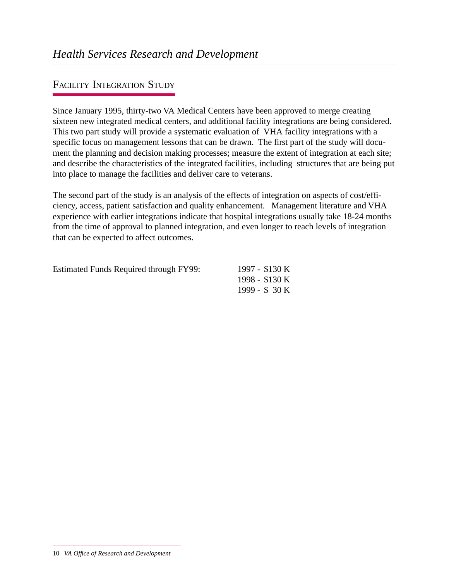### FACILITY INTEGRATION STUDY

Since January 1995, thirty-two VA Medical Centers have been approved to merge creating sixteen new integrated medical centers, and additional facility integrations are being considered. This two part study will provide a systematic evaluation of VHA facility integrations with a specific focus on management lessons that can be drawn. The first part of the study will document the planning and decision making processes; measure the extent of integration at each site; and describe the characteristics of the integrated facilities, including structures that are being put into place to manage the facilities and deliver care to veterans.

The second part of the study is an analysis of the effects of integration on aspects of cost/efficiency, access, patient satisfaction and quality enhancement. Management literature and VHA experience with earlier integrations indicate that hospital integrations usually take 18-24 months from the time of approval to planned integration, and even longer to reach levels of integration that can be expected to affect outcomes.

| <b>Estimated Funds Required through FY99:</b> | 1997 - \$130 K |
|-----------------------------------------------|----------------|
|                                               | 1998 - \$130 K |
|                                               | 1999 - $$30 K$ |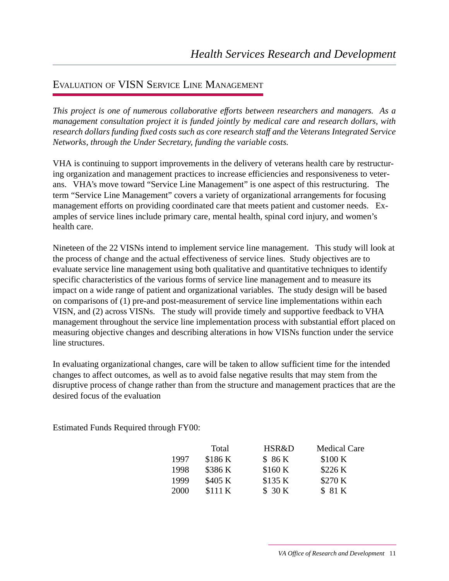### EVALUATION OF VISN SERVICE LINE MANAGEMENT

*This project is one of numerous collaborative efforts between researchers and managers. As a management consultation project it is funded jointly by medical care and research dollars, with research dollars funding fixed costs such as core research staff and the Veterans Integrated Service Networks, through the Under Secretary, funding the variable costs.*

VHA is continuing to support improvements in the delivery of veterans health care by restructuring organization and management practices to increase efficiencies and responsiveness to veterans. VHA's move toward "Service Line Management" is one aspect of this restructuring. The term "Service Line Management" covers a variety of organizational arrangements for focusing management efforts on providing coordinated care that meets patient and customer needs. Examples of service lines include primary care, mental health, spinal cord injury, and women's health care.

Nineteen of the 22 VISNs intend to implement service line management. This study will look at the process of change and the actual effectiveness of service lines. Study objectives are to evaluate service line management using both qualitative and quantitative techniques to identify specific characteristics of the various forms of service line management and to measure its impact on a wide range of patient and organizational variables. The study design will be based on comparisons of (1) pre-and post-measurement of service line implementations within each VISN, and (2) across VISNs. The study will provide timely and supportive feedback to VHA management throughout the service line implementation process with substantial effort placed on measuring objective changes and describing alterations in how VISNs function under the service line structures.

In evaluating organizational changes, care will be taken to allow sufficient time for the intended changes to affect outcomes, as well as to avoid false negative results that may stem from the disruptive process of change rather than from the structure and management practices that are the desired focus of the evaluation

Estimated Funds Required through FY00:

|      | Total   | HSR&D   | <b>Medical Care</b> |
|------|---------|---------|---------------------|
| 1997 | \$186K  | \$86K   | \$100 K             |
| 1998 | \$386 K | \$160 K | \$226 K             |
| 1999 | \$405 K | \$135 K | \$270 K             |
| 2000 | \$111K  | \$ 30 K | \$ 81 K             |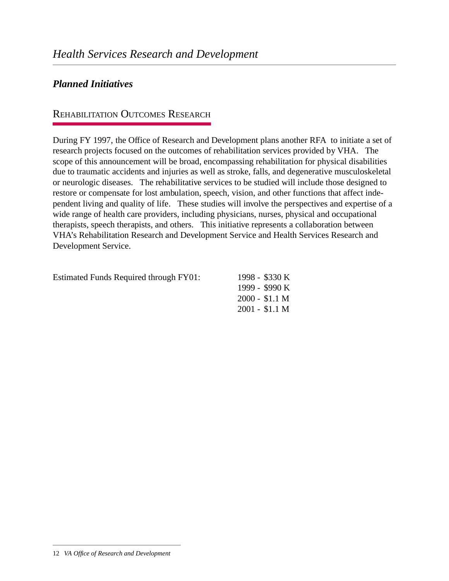### *Planned Initiatives*

#### REHABILITATION OUTCOMES RESEARCH

During FY 1997, the Office of Research and Development plans another RFA to initiate a set of research projects focused on the outcomes of rehabilitation services provided by VHA. The scope of this announcement will be broad, encompassing rehabilitation for physical disabilities due to traumatic accidents and injuries as well as stroke, falls, and degenerative musculoskeletal or neurologic diseases. The rehabilitative services to be studied will include those designed to restore or compensate for lost ambulation, speech, vision, and other functions that affect independent living and quality of life. These studies will involve the perspectives and expertise of a wide range of health care providers, including physicians, nurses, physical and occupational therapists, speech therapists, and others. This initiative represents a collaboration between VHA's Rehabilitation Research and Development Service and Health Services Research and Development Service.

Estimated Funds Required through FY01: 1998 - \$330 K

1999 - \$990 K 2000 - \$1.1 M 2001 - \$1.1 M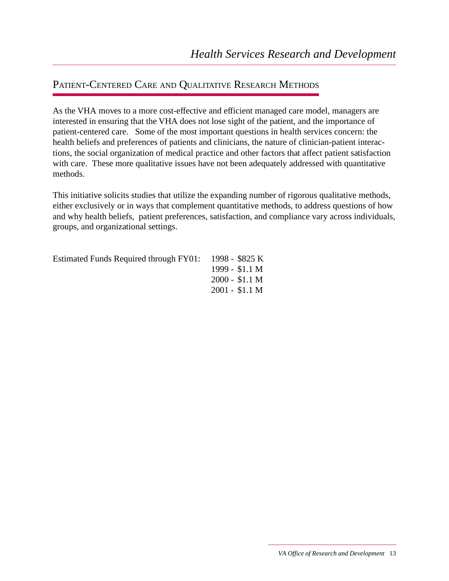#### PATIENT-CENTERED CARE AND QUALITATIVE RESEARCH METHODS

As the VHA moves to a more cost-effective and efficient managed care model, managers are interested in ensuring that the VHA does not lose sight of the patient, and the importance of patient-centered care. Some of the most important questions in health services concern: the health beliefs and preferences of patients and clinicians, the nature of clinician-patient interactions, the social organization of medical practice and other factors that affect patient satisfaction with care. These more qualitative issues have not been adequately addressed with quantitative methods.

This initiative solicits studies that utilize the expanding number of rigorous qualitative methods, either exclusively or in ways that complement quantitative methods, to address questions of how and why health beliefs, patient preferences, satisfaction, and compliance vary across individuals, groups, and organizational settings.

| Estimated Funds Required through FY01: 1998 - \$825 K |                 |
|-------------------------------------------------------|-----------------|
|                                                       | 1999 - $$1.1 M$ |
|                                                       | $2000 - $1.1 M$ |
|                                                       | $2001 - $1.1 M$ |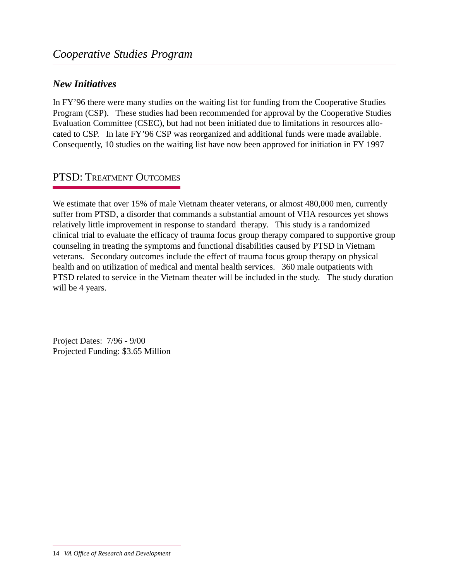#### *New Initiatives*

In FY'96 there were many studies on the waiting list for funding from the Cooperative Studies Program (CSP). These studies had been recommended for approval by the Cooperative Studies Evaluation Committee (CSEC), but had not been initiated due to limitations in resources allocated to CSP. In late FY'96 CSP was reorganized and additional funds were made available. Consequently, 10 studies on the waiting list have now been approved for initiation in FY 1997

### PTSD: TREATMENT OUTCOMES

We estimate that over 15% of male Vietnam theater veterans, or almost 480,000 men, currently suffer from PTSD, a disorder that commands a substantial amount of VHA resources yet shows relatively little improvement in response to standard therapy. This study is a randomized clinical trial to evaluate the efficacy of trauma focus group therapy compared to supportive group counseling in treating the symptoms and functional disabilities caused by PTSD in Vietnam veterans. Secondary outcomes include the effect of trauma focus group therapy on physical health and on utilization of medical and mental health services. 360 male outpatients with PTSD related to service in the Vietnam theater will be included in the study. The study duration will be 4 years.

Project Dates: 7/96 - 9/00 Projected Funding: \$3.65 Million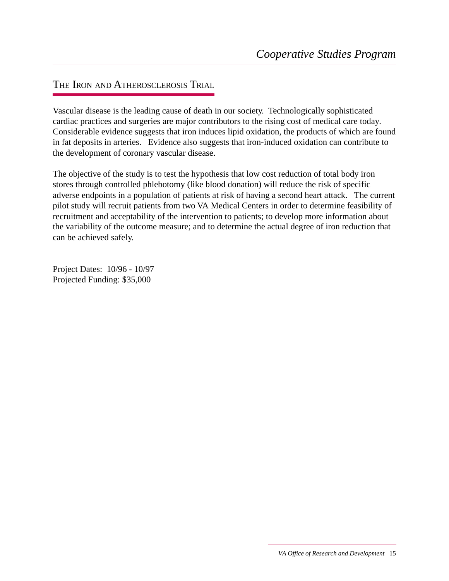#### THE IRON AND ATHEROSCLEROSIS TRIAL

Vascular disease is the leading cause of death in our society. Technologically sophisticated cardiac practices and surgeries are major contributors to the rising cost of medical care today. Considerable evidence suggests that iron induces lipid oxidation, the products of which are found in fat deposits in arteries. Evidence also suggests that iron-induced oxidation can contribute to the development of coronary vascular disease.

The objective of the study is to test the hypothesis that low cost reduction of total body iron stores through controlled phlebotomy (like blood donation) will reduce the risk of specific adverse endpoints in a population of patients at risk of having a second heart attack. The current pilot study will recruit patients from two VA Medical Centers in order to determine feasibility of recruitment and acceptability of the intervention to patients; to develop more information about the variability of the outcome measure; and to determine the actual degree of iron reduction that can be achieved safely.

Project Dates: 10/96 - 10/97 Projected Funding: \$35,000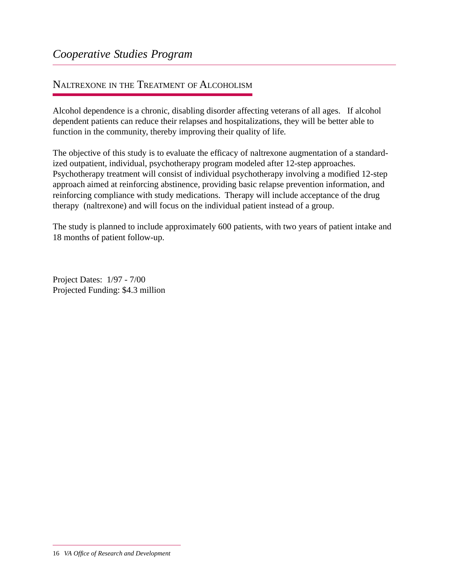#### NALTREXONE IN THE TREATMENT OF ALCOHOLISM

Alcohol dependence is a chronic, disabling disorder affecting veterans of all ages. If alcohol dependent patients can reduce their relapses and hospitalizations, they will be better able to function in the community, thereby improving their quality of life.

The objective of this study is to evaluate the efficacy of naltrexone augmentation of a standardized outpatient, individual, psychotherapy program modeled after 12-step approaches. Psychotherapy treatment will consist of individual psychotherapy involving a modified 12-step approach aimed at reinforcing abstinence, providing basic relapse prevention information, and reinforcing compliance with study medications. Therapy will include acceptance of the drug therapy (naltrexone) and will focus on the individual patient instead of a group.

The study is planned to include approximately 600 patients, with two years of patient intake and 18 months of patient follow-up.

Project Dates: 1/97 - 7/00 Projected Funding: \$4.3 million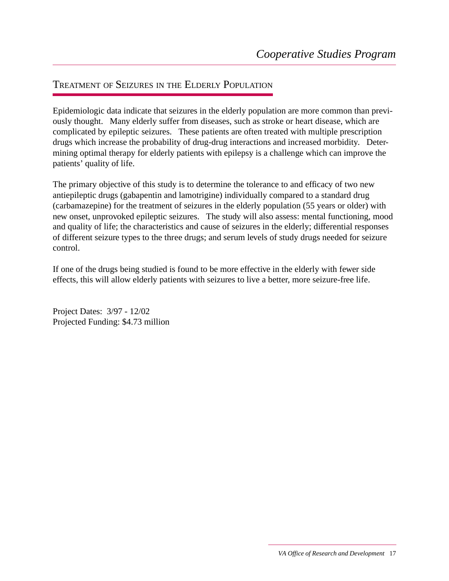#### TREATMENT OF SEIZURES IN THE ELDERLY POPULATION

Epidemiologic data indicate that seizures in the elderly population are more common than previously thought. Many elderly suffer from diseases, such as stroke or heart disease, which are complicated by epileptic seizures. These patients are often treated with multiple prescription drugs which increase the probability of drug-drug interactions and increased morbidity. Determining optimal therapy for elderly patients with epilepsy is a challenge which can improve the patients' quality of life.

The primary objective of this study is to determine the tolerance to and efficacy of two new antiepileptic drugs (gabapentin and lamotrigine) individually compared to a standard drug (carbamazepine) for the treatment of seizures in the elderly population (55 years or older) with new onset, unprovoked epileptic seizures. The study will also assess: mental functioning, mood and quality of life; the characteristics and cause of seizures in the elderly; differential responses of different seizure types to the three drugs; and serum levels of study drugs needed for seizure control.

If one of the drugs being studied is found to be more effective in the elderly with fewer side effects, this will allow elderly patients with seizures to live a better, more seizure-free life.

Project Dates: 3/97 - 12/02 Projected Funding: \$4.73 million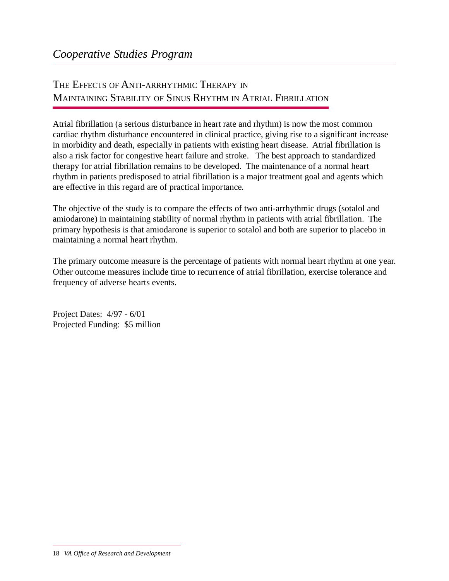## THE EFFECTS OF ANTI-ARRHYTHMIC THERAPY IN MAINTAINING STABILITY OF SINUS RHYTHM IN ATRIAL FIBRILLATION

Atrial fibrillation (a serious disturbance in heart rate and rhythm) is now the most common cardiac rhythm disturbance encountered in clinical practice, giving rise to a significant increase in morbidity and death, especially in patients with existing heart disease. Atrial fibrillation is also a risk factor for congestive heart failure and stroke. The best approach to standardized therapy for atrial fibrillation remains to be developed. The maintenance of a normal heart rhythm in patients predisposed to atrial fibrillation is a major treatment goal and agents which are effective in this regard are of practical importance.

The objective of the study is to compare the effects of two anti-arrhythmic drugs (sotalol and amiodarone) in maintaining stability of normal rhythm in patients with atrial fibrillation. The primary hypothesis is that amiodarone is superior to sotalol and both are superior to placebo in maintaining a normal heart rhythm.

The primary outcome measure is the percentage of patients with normal heart rhythm at one year. Other outcome measures include time to recurrence of atrial fibrillation, exercise tolerance and frequency of adverse hearts events.

Project Dates: 4/97 - 6/01 Projected Funding: \$5 million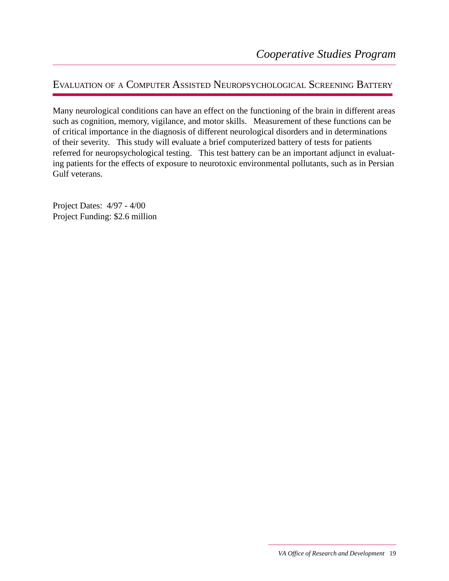### EVALUATION OF A COMPUTER ASSISTED NEUROPSYCHOLOGICAL SCREENING BATTERY

Many neurological conditions can have an effect on the functioning of the brain in different areas such as cognition, memory, vigilance, and motor skills. Measurement of these functions can be of critical importance in the diagnosis of different neurological disorders and in determinations of their severity. This study will evaluate a brief computerized battery of tests for patients referred for neuropsychological testing. This test battery can be an important adjunct in evaluating patients for the effects of exposure to neurotoxic environmental pollutants, such as in Persian Gulf veterans.

Project Dates: 4/97 - 4/00 Project Funding: \$2.6 million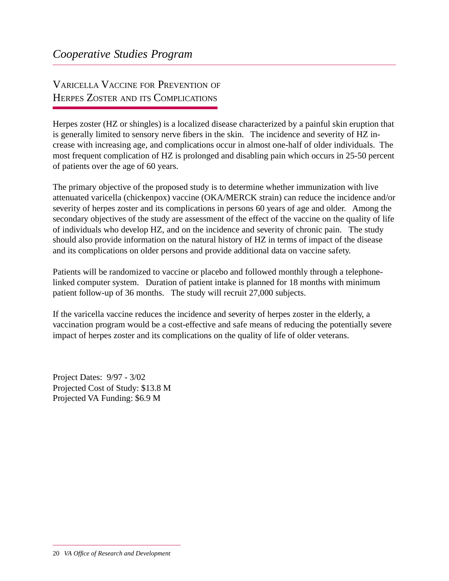## VARICELLA VACCINE FOR PREVENTION OF HERPES ZOSTER AND ITS COMPLICATIONS

Herpes zoster (HZ or shingles) is a localized disease characterized by a painful skin eruption that is generally limited to sensory nerve fibers in the skin. The incidence and severity of HZ increase with increasing age, and complications occur in almost one-half of older individuals. The most frequent complication of HZ is prolonged and disabling pain which occurs in 25-50 percent of patients over the age of 60 years.

The primary objective of the proposed study is to determine whether immunization with live attenuated varicella (chickenpox) vaccine (OKA/MERCK strain) can reduce the incidence and/or severity of herpes zoster and its complications in persons 60 years of age and older. Among the secondary objectives of the study are assessment of the effect of the vaccine on the quality of life of individuals who develop HZ, and on the incidence and severity of chronic pain. The study should also provide information on the natural history of HZ in terms of impact of the disease and its complications on older persons and provide additional data on vaccine safety.

Patients will be randomized to vaccine or placebo and followed monthly through a telephonelinked computer system. Duration of patient intake is planned for 18 months with minimum patient follow-up of 36 months. The study will recruit 27,000 subjects.

If the varicella vaccine reduces the incidence and severity of herpes zoster in the elderly, a vaccination program would be a cost-effective and safe means of reducing the potentially severe impact of herpes zoster and its complications on the quality of life of older veterans.

Project Dates: 9/97 - 3/02 Projected Cost of Study: \$13.8 M Projected VA Funding: \$6.9 M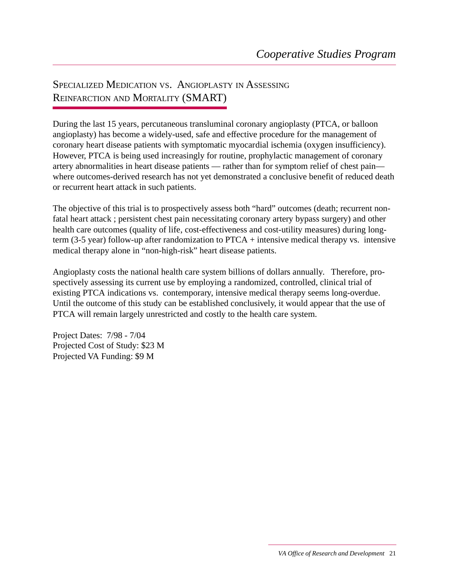## SPECIALIZED MEDICATION VS. ANGIOPLASTY IN ASSESSING REINFARCTION AND MORTALITY (SMART)

During the last 15 years, percutaneous transluminal coronary angioplasty (PTCA, or balloon angioplasty) has become a widely-used, safe and effective procedure for the management of coronary heart disease patients with symptomatic myocardial ischemia (oxygen insufficiency). However, PTCA is being used increasingly for routine, prophylactic management of coronary artery abnormalities in heart disease patients — rather than for symptom relief of chest pain where outcomes-derived research has not yet demonstrated a conclusive benefit of reduced death or recurrent heart attack in such patients.

The objective of this trial is to prospectively assess both "hard" outcomes (death; recurrent nonfatal heart attack ; persistent chest pain necessitating coronary artery bypass surgery) and other health care outcomes (quality of life, cost-effectiveness and cost-utility measures) during longterm (3-5 year) follow-up after randomization to PTCA + intensive medical therapy vs. intensive medical therapy alone in "non-high-risk" heart disease patients.

Angioplasty costs the national health care system billions of dollars annually. Therefore, prospectively assessing its current use by employing a randomized, controlled, clinical trial of existing PTCA indications vs. contemporary, intensive medical therapy seems long-overdue. Until the outcome of this study can be established conclusively, it would appear that the use of PTCA will remain largely unrestricted and costly to the health care system.

Project Dates: 7/98 - 7/04 Projected Cost of Study: \$23 M Projected VA Funding: \$9 M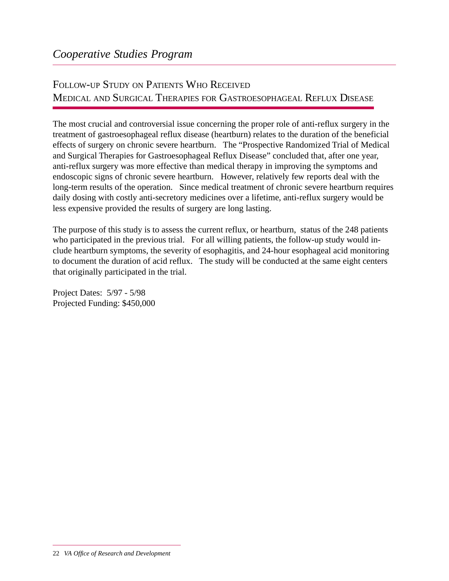## FOLLOW-UP STUDY ON PATIENTS WHO RECEIVED MEDICAL AND SURGICAL THERAPIES FOR GASTROESOPHAGEAL REFLUX DISEASE

The most crucial and controversial issue concerning the proper role of anti-reflux surgery in the treatment of gastroesophageal reflux disease (heartburn) relates to the duration of the beneficial effects of surgery on chronic severe heartburn. The "Prospective Randomized Trial of Medical and Surgical Therapies for Gastroesophageal Reflux Disease" concluded that, after one year, anti-reflux surgery was more effective than medical therapy in improving the symptoms and endoscopic signs of chronic severe heartburn. However, relatively few reports deal with the long-term results of the operation. Since medical treatment of chronic severe heartburn requires daily dosing with costly anti-secretory medicines over a lifetime, anti-reflux surgery would be less expensive provided the results of surgery are long lasting.

The purpose of this study is to assess the current reflux, or heartburn, status of the 248 patients who participated in the previous trial. For all willing patients, the follow-up study would include heartburn symptoms, the severity of esophagitis, and 24-hour esophageal acid monitoring to document the duration of acid reflux. The study will be conducted at the same eight centers that originally participated in the trial.

Project Dates: 5/97 - 5/98 Projected Funding: \$450,000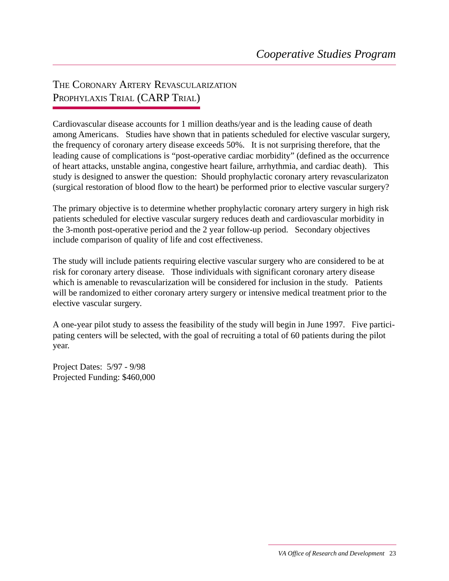THE CORONARY ARTERY REVASCULARIZATION PROPHYLAXIS TRIAL (CARP TRIAL)

Cardiovascular disease accounts for 1 million deaths/year and is the leading cause of death among Americans. Studies have shown that in patients scheduled for elective vascular surgery, the frequency of coronary artery disease exceeds 50%. It is not surprising therefore, that the leading cause of complications is "post-operative cardiac morbidity" (defined as the occurrence of heart attacks, unstable angina, congestive heart failure, arrhythmia, and cardiac death). This study is designed to answer the question: Should prophylactic coronary artery revascularizaton (surgical restoration of blood flow to the heart) be performed prior to elective vascular surgery?

The primary objective is to determine whether prophylactic coronary artery surgery in high risk patients scheduled for elective vascular surgery reduces death and cardiovascular morbidity in the 3-month post-operative period and the 2 year follow-up period. Secondary objectives include comparison of quality of life and cost effectiveness.

The study will include patients requiring elective vascular surgery who are considered to be at risk for coronary artery disease. Those individuals with significant coronary artery disease which is amenable to revascularization will be considered for inclusion in the study. Patients will be randomized to either coronary artery surgery or intensive medical treatment prior to the elective vascular surgery.

A one-year pilot study to assess the feasibility of the study will begin in June 1997. Five participating centers will be selected, with the goal of recruiting a total of 60 patients during the pilot year.

Project Dates: 5/97 - 9/98 Projected Funding: \$460,000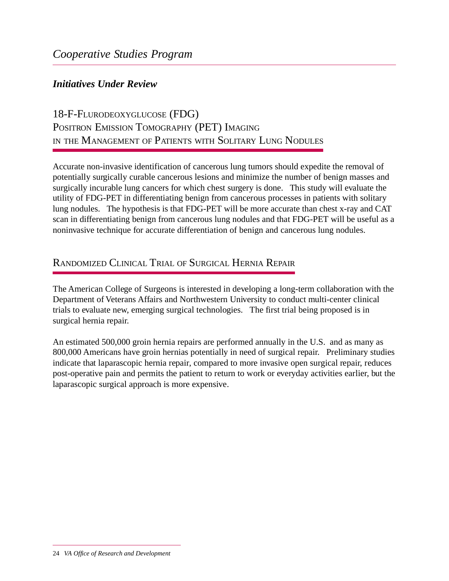#### *Initiatives Under Review*

## 18-F-FLURODEOXYGLUCOSE (FDG) POSITRON EMISSION TOMOGRAPHY (PET) IMAGING IN THE MANAGEMENT OF PATIENTS WITH SOLITARY LUNG NODULES

Accurate non-invasive identification of cancerous lung tumors should expedite the removal of potentially surgically curable cancerous lesions and minimize the number of benign masses and surgically incurable lung cancers for which chest surgery is done. This study will evaluate the utility of FDG-PET in differentiating benign from cancerous processes in patients with solitary lung nodules. The hypothesis is that FDG-PET will be more accurate than chest x-ray and CAT scan in differentiating benign from cancerous lung nodules and that FDG-PET will be useful as a noninvasive technique for accurate differentiation of benign and cancerous lung nodules.

### RANDOMIZED CLINICAL TRIAL OF SURGICAL HERNIA REPAIR

The American College of Surgeons is interested in developing a long-term collaboration with the Department of Veterans Affairs and Northwestern University to conduct multi-center clinical trials to evaluate new, emerging surgical technologies. The first trial being proposed is in surgical hernia repair.

An estimated 500,000 groin hernia repairs are performed annually in the U.S. and as many as 800,000 Americans have groin hernias potentially in need of surgical repair. Preliminary studies indicate that laparascopic hernia repair, compared to more invasive open surgical repair, reduces post-operative pain and permits the patient to return to work or everyday activities earlier, but the laparascopic surgical approach is more expensive.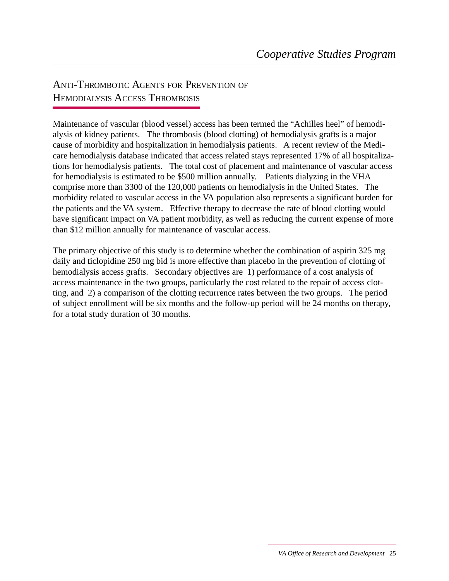### ANTI-THROMBOTIC AGENTS FOR PREVENTION OF HEMODIALYSIS ACCESS THROMBOSIS

Maintenance of vascular (blood vessel) access has been termed the "Achilles heel" of hemodialysis of kidney patients. The thrombosis (blood clotting) of hemodialysis grafts is a major cause of morbidity and hospitalization in hemodialysis patients. A recent review of the Medicare hemodialysis database indicated that access related stays represented 17% of all hospitalizations for hemodialysis patients. The total cost of placement and maintenance of vascular access for hemodialysis is estimated to be \$500 million annually. Patients dialyzing in the VHA comprise more than 3300 of the 120,000 patients on hemodialysis in the United States. The morbidity related to vascular access in the VA population also represents a significant burden for the patients and the VA system. Effective therapy to decrease the rate of blood clotting would have significant impact on VA patient morbidity, as well as reducing the current expense of more than \$12 million annually for maintenance of vascular access.

The primary objective of this study is to determine whether the combination of aspirin 325 mg daily and ticlopidine 250 mg bid is more effective than placebo in the prevention of clotting of hemodialysis access grafts. Secondary objectives are 1) performance of a cost analysis of access maintenance in the two groups, particularly the cost related to the repair of access clotting, and 2) a comparison of the clotting recurrence rates between the two groups. The period of subject enrollment will be six months and the follow-up period will be 24 months on therapy, for a total study duration of 30 months.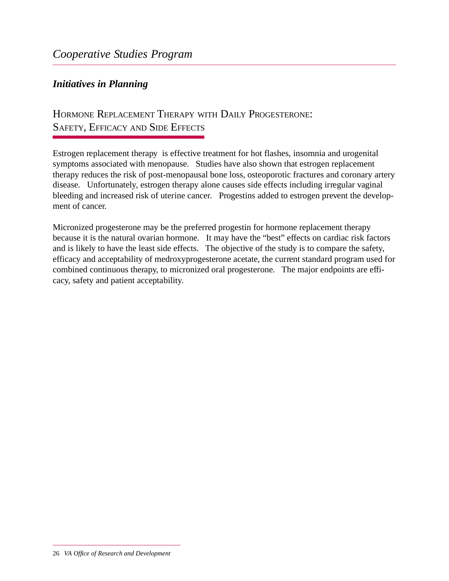#### *Initiatives in Planning*

### HORMONE REPLACEMENT THERAPY WITH DAILY PROGESTERONE: SAFETY, EFFICACY AND SIDE EFFECTS

Estrogen replacement therapy is effective treatment for hot flashes, insomnia and urogenital symptoms associated with menopause. Studies have also shown that estrogen replacement therapy reduces the risk of post-menopausal bone loss, osteoporotic fractures and coronary artery disease. Unfortunately, estrogen therapy alone causes side effects including irregular vaginal bleeding and increased risk of uterine cancer. Progestins added to estrogen prevent the development of cancer.

Micronized progesterone may be the preferred progestin for hormone replacement therapy because it is the natural ovarian hormone. It may have the "best" effects on cardiac risk factors and is likely to have the least side effects. The objective of the study is to compare the safety, efficacy and acceptability of medroxyprogesterone acetate, the current standard program used for combined continuous therapy, to micronized oral progesterone. The major endpoints are efficacy, safety and patient acceptability.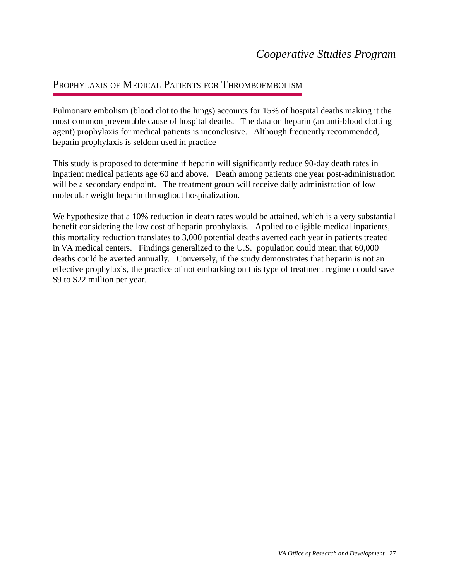#### PROPHYLAXIS OF MEDICAL PATIENTS FOR THROMBOEMBOLISM

Pulmonary embolism (blood clot to the lungs) accounts for 15% of hospital deaths making it the most common preventable cause of hospital deaths. The data on heparin (an anti-blood clotting agent) prophylaxis for medical patients is inconclusive. Although frequently recommended, heparin prophylaxis is seldom used in practice

This study is proposed to determine if heparin will significantly reduce 90-day death rates in inpatient medical patients age 60 and above. Death among patients one year post-administration will be a secondary endpoint. The treatment group will receive daily administration of low molecular weight heparin throughout hospitalization.

We hypothesize that a 10% reduction in death rates would be attained, which is a very substantial benefit considering the low cost of heparin prophylaxis. Applied to eligible medical inpatients, this mortality reduction translates to 3,000 potential deaths averted each year in patients treated in VA medical centers. Findings generalized to the U.S. population could mean that 60,000 deaths could be averted annually. Conversely, if the study demonstrates that heparin is not an effective prophylaxis, the practice of not embarking on this type of treatment regimen could save \$9 to \$22 million per year.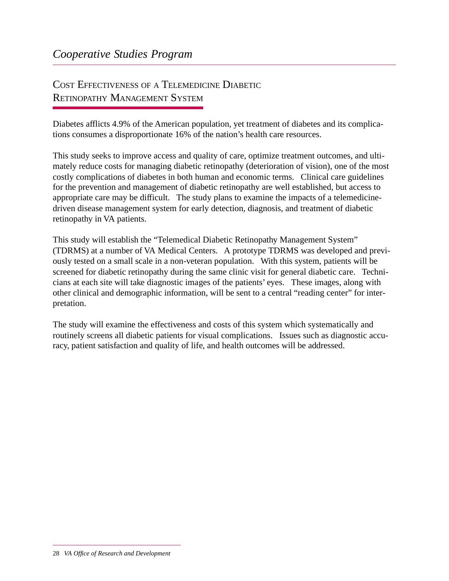## COST EFFECTIVENESS OF A TELEMEDICINE DIABETIC RETINOPATHY MANAGEMENT SYSTEM

Diabetes afflicts 4.9% of the American population, yet treatment of diabetes and its complications consumes a disproportionate 16% of the nation's health care resources.

This study seeks to improve access and quality of care, optimize treatment outcomes, and ultimately reduce costs for managing diabetic retinopathy (deterioration of vision), one of the most costly complications of diabetes in both human and economic terms. Clinical care guidelines for the prevention and management of diabetic retinopathy are well established, but access to appropriate care may be difficult. The study plans to examine the impacts of a telemedicinedriven disease management system for early detection, diagnosis, and treatment of diabetic retinopathy in VA patients.

This study will establish the "Telemedical Diabetic Retinopathy Management System" (TDRMS) at a number of VA Medical Centers. A prototype TDRMS was developed and previously tested on a small scale in a non-veteran population. With this system, patients will be screened for diabetic retinopathy during the same clinic visit for general diabetic care. Technicians at each site will take diagnostic images of the patients' eyes. These images, along with other clinical and demographic information, will be sent to a central "reading center" for interpretation.

The study will examine the effectiveness and costs of this system which systematically and routinely screens all diabetic patients for visual complications. Issues such as diagnostic accuracy, patient satisfaction and quality of life, and health outcomes will be addressed.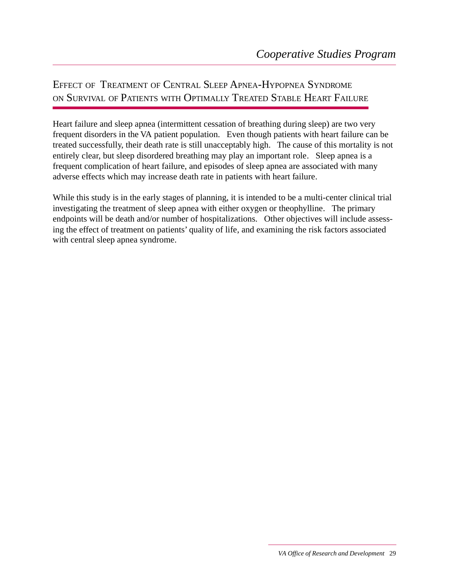## EFFECT OF TREATMENT OF CENTRAL SLEEP APNEA-HYPOPNEA SYNDROME ON SURVIVAL OF PATIENTS WITH OPTIMALLY TREATED STABLE HEART FAILURE

Heart failure and sleep apnea (intermittent cessation of breathing during sleep) are two very frequent disorders in the VA patient population. Even though patients with heart failure can be treated successfully, their death rate is still unacceptably high. The cause of this mortality is not entirely clear, but sleep disordered breathing may play an important role. Sleep apnea is a frequent complication of heart failure, and episodes of sleep apnea are associated with many adverse effects which may increase death rate in patients with heart failure.

While this study is in the early stages of planning, it is intended to be a multi-center clinical trial investigating the treatment of sleep apnea with either oxygen or theophylline. The primary endpoints will be death and/or number of hospitalizations. Other objectives will include assessing the effect of treatment on patients' quality of life, and examining the risk factors associated with central sleep apnea syndrome.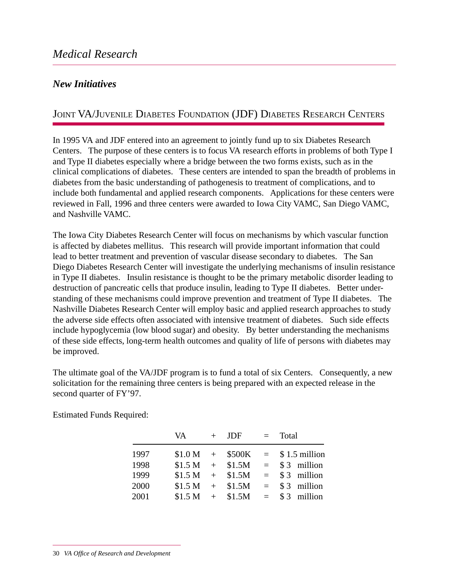#### *New Initiatives*

### JOINT VA/JUVENILE DIABETES FOUNDATION (JDF) DIABETES RESEARCH CENTERS

In 1995 VA and JDF entered into an agreement to jointly fund up to six Diabetes Research Centers. The purpose of these centers is to focus VA research efforts in problems of both Type I and Type II diabetes especially where a bridge between the two forms exists, such as in the clinical complications of diabetes. These centers are intended to span the breadth of problems in diabetes from the basic understanding of pathogenesis to treatment of complications, and to include both fundamental and applied research components. Applications for these centers were reviewed in Fall, 1996 and three centers were awarded to Iowa City VAMC, San Diego VAMC, and Nashville VAMC.

The Iowa City Diabetes Research Center will focus on mechanisms by which vascular function is affected by diabetes mellitus. This research will provide important information that could lead to better treatment and prevention of vascular disease secondary to diabetes. The San Diego Diabetes Research Center will investigate the underlying mechanisms of insulin resistance in Type II diabetes. Insulin resistance is thought to be the primary metabolic disorder leading to destruction of pancreatic cells that produce insulin, leading to Type II diabetes. Better understanding of these mechanisms could improve prevention and treatment of Type II diabetes. The Nashville Diabetes Research Center will employ basic and applied research approaches to study the adverse side effects often associated with intensive treatment of diabetes. Such side effects include hypoglycemia (low blood sugar) and obesity. By better understanding the mechanisms of these side effects, long-term health outcomes and quality of life of persons with diabetes may be improved.

The ultimate goal of the VA/JDF program is to fund a total of six Centers. Consequently, a new solicitation for the remaining three centers is being prepared with an expected release in the second quarter of FY'97.

|      | VA 11 | $+$ JDF          | $=$ Total                       |
|------|-------|------------------|---------------------------------|
| 1997 |       |                  | $$1.0 M + $500K = $1.5$ million |
| 1998 |       | $$1.5 M + $1.5M$ | $=$ \$3 million                 |
| 1999 |       | $$1.5 M + $1.5M$ | $=$ \$3 million                 |
| 2000 |       | $$1.5 M + $1.5M$ | $=$ \$3 million                 |
| 2001 |       | $$1.5 M + $1.5M$ | $=$ \$3 million                 |

Estimated Funds Required: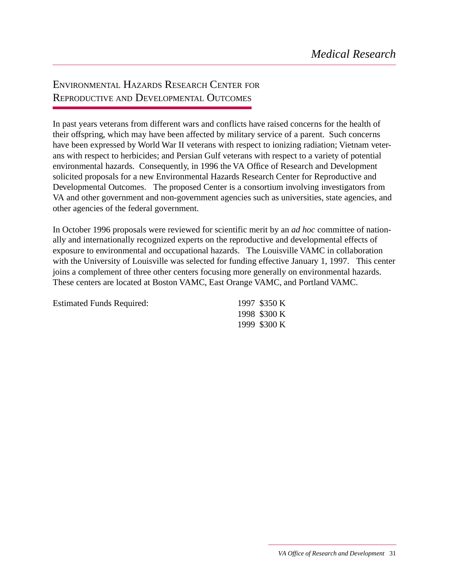## ENVIRONMENTAL HAZARDS RESEARCH CENTER FOR REPRODUCTIVE AND DEVELOPMENTAL OUTCOMES

In past years veterans from different wars and conflicts have raised concerns for the health of their offspring, which may have been affected by military service of a parent. Such concerns have been expressed by World War II veterans with respect to ionizing radiation; Vietnam veterans with respect to herbicides; and Persian Gulf veterans with respect to a variety of potential environmental hazards. Consequently, in 1996 the VA Office of Research and Development solicited proposals for a new Environmental Hazards Research Center for Reproductive and Developmental Outcomes. The proposed Center is a consortium involving investigators from VA and other government and non-government agencies such as universities, state agencies, and other agencies of the federal government.

In October 1996 proposals were reviewed for scientific merit by an *ad hoc* committee of nationally and internationally recognized experts on the reproductive and developmental effects of exposure to environmental and occupational hazards. The Louisville VAMC in collaboration with the University of Louisville was selected for funding effective January 1, 1997. This center joins a complement of three other centers focusing more generally on environmental hazards. These centers are located at Boston VAMC, East Orange VAMC, and Portland VAMC.

| <b>Estimated Funds Required:</b> | 1997 \$350 K |
|----------------------------------|--------------|
|                                  | 1998 \$300 K |
|                                  | 1999 \$300 K |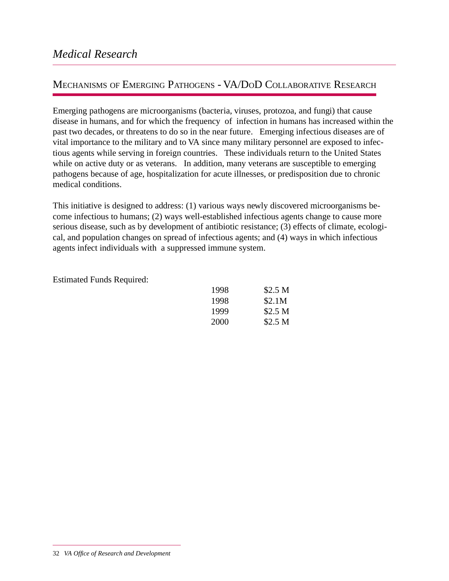#### MECHANISMS OF EMERGING PATHOGENS - VA/DOD COLLABORATIVE RESEARCH

Emerging pathogens are microorganisms (bacteria, viruses, protozoa, and fungi) that cause disease in humans, and for which the frequency of infection in humans has increased within the past two decades, or threatens to do so in the near future. Emerging infectious diseases are of vital importance to the military and to VA since many military personnel are exposed to infectious agents while serving in foreign countries. These individuals return to the United States while on active duty or as veterans. In addition, many veterans are susceptible to emerging pathogens because of age, hospitalization for acute illnesses, or predisposition due to chronic medical conditions.

This initiative is designed to address: (1) various ways newly discovered microorganisms become infectious to humans; (2) ways well-established infectious agents change to cause more serious disease, such as by development of antibiotic resistance; (3) effects of climate, ecological, and population changes on spread of infectious agents; and (4) ways in which infectious agents infect individuals with a suppressed immune system.

Estimated Funds Required:

| 1998 | \$2.5 <sub>M</sub> |
|------|--------------------|
| 1998 | \$2.1M             |
| 1999 | \$2.5 <sub>M</sub> |
| 2000 | \$2.5 <sub>M</sub> |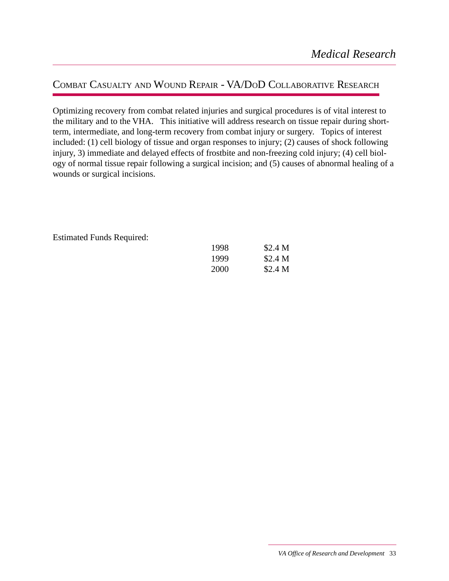### COMBAT CASUALTY AND WOUND REPAIR - VA/DOD COLLABORATIVE RESEARCH

Optimizing recovery from combat related injuries and surgical procedures is of vital interest to the military and to the VHA. This initiative will address research on tissue repair during shortterm, intermediate, and long-term recovery from combat injury or surgery. Topics of interest included: (1) cell biology of tissue and organ responses to injury; (2) causes of shock following injury, 3) immediate and delayed effects of frostbite and non-freezing cold injury; (4) cell biology of normal tissue repair following a surgical incision; and (5) causes of abnormal healing of a wounds or surgical incisions.

Estimated Funds Required:

| 1998 | \$2.4 <sub>M</sub> |
|------|--------------------|
| 1999 | \$2.4 <sub>M</sub> |
| 2000 | \$2.4 M            |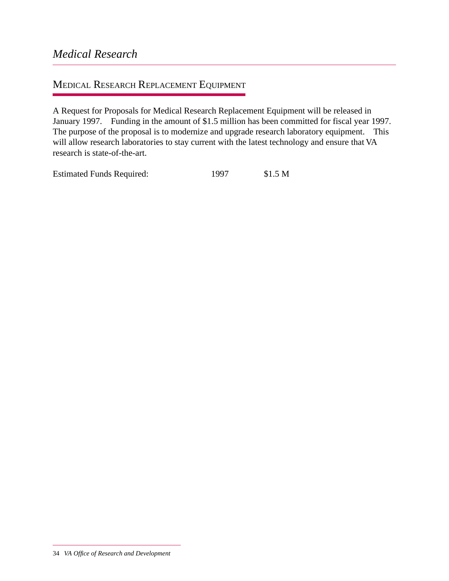#### MEDICAL RESEARCH REPLACEMENT EQUIPMENT

A Request for Proposals for Medical Research Replacement Equipment will be released in January 1997. Funding in the amount of \$1.5 million has been committed for fiscal year 1997. The purpose of the proposal is to modernize and upgrade research laboratory equipment. This will allow research laboratories to stay current with the latest technology and ensure that VA research is state-of-the-art.

Estimated Funds Required: 1997 \$1.5 M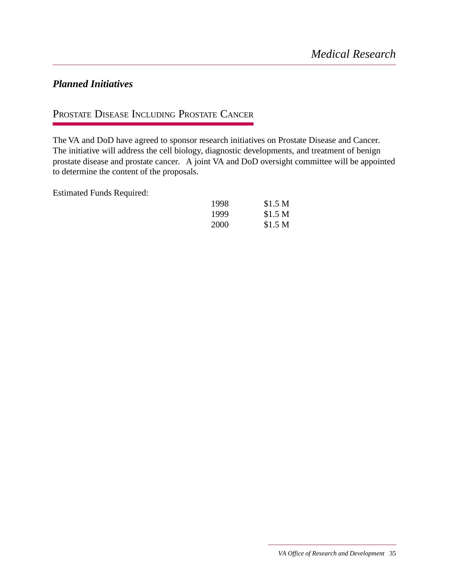#### *Planned Initiatives*

### PROSTATE DISEASE INCLUDING PROSTATE CANCER

The VA and DoD have agreed to sponsor research initiatives on Prostate Disease and Cancer. The initiative will address the cell biology, diagnostic developments, and treatment of benign prostate disease and prostate cancer. A joint VA and DoD oversight committee will be appointed to determine the content of the proposals.

Estimated Funds Required:

| 1998 | \$1.5 <sub>M</sub> |
|------|--------------------|
| 1999 | \$1.5 <sub>M</sub> |
| 2000 | \$1.5 <sub>M</sub> |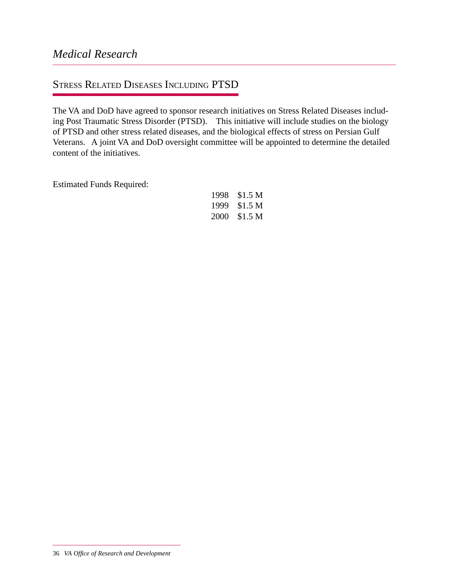### STRESS RELATED DISEASES INCLUDING PTSD

The VA and DoD have agreed to sponsor research initiatives on Stress Related Diseases including Post Traumatic Stress Disorder (PTSD). This initiative will include studies on the biology of PTSD and other stress related diseases, and the biological effects of stress on Persian Gulf Veterans. A joint VA and DoD oversight committee will be appointed to determine the detailed content of the initiatives.

Estimated Funds Required:

| 1998 | \$1.5 <sub>M</sub> |
|------|--------------------|
| 1999 | \$1.5 <sub>M</sub> |
| 2000 | \$1.5 <sub>M</sub> |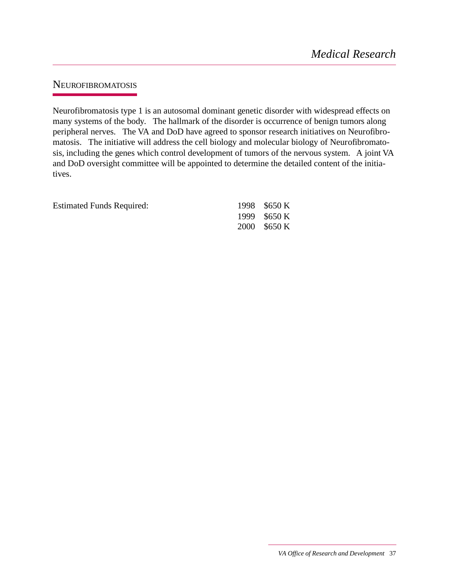#### NEUROFIBROMATOSIS

Neurofibromatosis type 1 is an autosomal dominant genetic disorder with widespread effects on many systems of the body. The hallmark of the disorder is occurrence of benign tumors along peripheral nerves. The VA and DoD have agreed to sponsor research initiatives on Neurofibromatosis. The initiative will address the cell biology and molecular biology of Neurofibromatosis, including the genes which control development of tumors of the nervous system. A joint VA and DoD oversight committee will be appointed to determine the detailed content of the initiatives.

Estimated Funds Required: 1998 \$650 K

1999 \$650 K 2000 \$650 K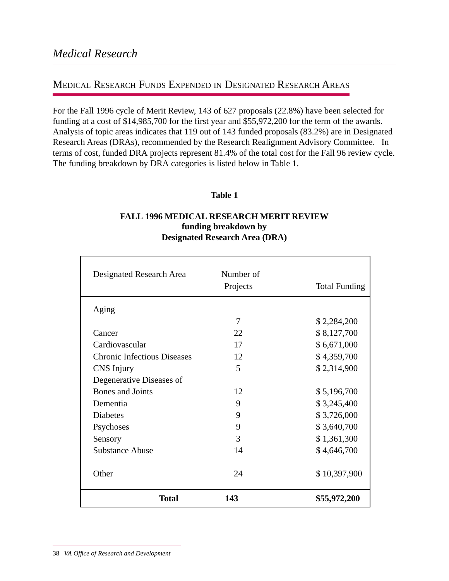#### MEDICAL RESEARCH FUNDS EXPENDED IN DESIGNATED RESEARCH AREAS

For the Fall 1996 cycle of Merit Review, 143 of 627 proposals (22.8%) have been selected for funding at a cost of \$14,985,700 for the first year and \$55,972,200 for the term of the awards. Analysis of topic areas indicates that 119 out of 143 funded proposals (83.2%) are in Designated Research Areas (DRAs), recommended by the Research Realignment Advisory Committee. In terms of cost, funded DRA projects represent 81.4% of the total cost for the Fall 96 review cycle. The funding breakdown by DRA categories is listed below in Table 1.

#### **Table 1**

#### **FALL 1996 MEDICAL RESEARCH MERIT REVIEW funding breakdown by Designated Research Area (DRA)**

| Designated Research Area           | Number of<br>Projects | <b>Total Funding</b> |
|------------------------------------|-----------------------|----------------------|
| Aging                              |                       |                      |
|                                    | 7                     | \$2,284,200          |
| Cancer                             | 22                    | \$8,127,700          |
| Cardiovascular                     | 17                    | \$6,671,000          |
| <b>Chronic Infectious Diseases</b> | 12                    | \$4,359,700          |
| CNS Injury                         | 5                     | \$2,314,900          |
| Degenerative Diseases of           |                       |                      |
| Bones and Joints                   | 12                    | \$5,196,700          |
| Dementia                           | 9                     | \$3,245,400          |
| <b>Diabetes</b>                    | 9                     | \$3,726,000          |
| Psychoses                          | 9                     | \$3,640,700          |
| Sensory                            | 3                     | \$1,361,300          |
| <b>Substance Abuse</b>             | 14                    | \$4,646,700          |
| Other                              | 24                    | \$10,397,900         |
| <b>Total</b>                       | 143                   | \$55,972,200         |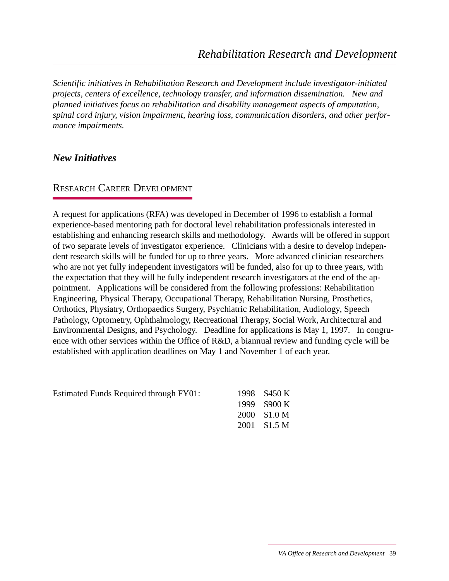*Scientific initiatives in Rehabilitation Research and Development include investigator-initiated projects, centers of excellence, technology transfer, and information dissemination. New and planned initiatives focus on rehabilitation and disability management aspects of amputation, spinal cord injury, vision impairment, hearing loss, communication disorders, and other performance impairments.*

#### *New Initiatives*

#### RESEARCH CAREER DEVELOPMENT

A request for applications (RFA) was developed in December of 1996 to establish a formal experience-based mentoring path for doctoral level rehabilitation professionals interested in establishing and enhancing research skills and methodology. Awards will be offered in support of two separate levels of investigator experience. Clinicians with a desire to develop independent research skills will be funded for up to three years. More advanced clinician researchers who are not yet fully independent investigators will be funded, also for up to three years, with the expectation that they will be fully independent research investigators at the end of the appointment. Applications will be considered from the following professions: Rehabilitation Engineering, Physical Therapy, Occupational Therapy, Rehabilitation Nursing, Prosthetics, Orthotics, Physiatry, Orthopaedics Surgery, Psychiatric Rehabilitation, Audiology, Speech Pathology, Optometry, Ophthalmology, Recreational Therapy, Social Work, Architectural and Environmental Designs, and Psychology. Deadline for applications is May 1, 1997. In congruence with other services within the Office of R&D, a biannual review and funding cycle will be established with application deadlines on May 1 and November 1 of each year.

| <b>Estimated Funds Required through FY01:</b> | 1998 \$450 K        |
|-----------------------------------------------|---------------------|
|                                               | 1999 \$900 K        |
|                                               | $2000 \quad $1.0 M$ |
|                                               | 2001 \$1.5 M        |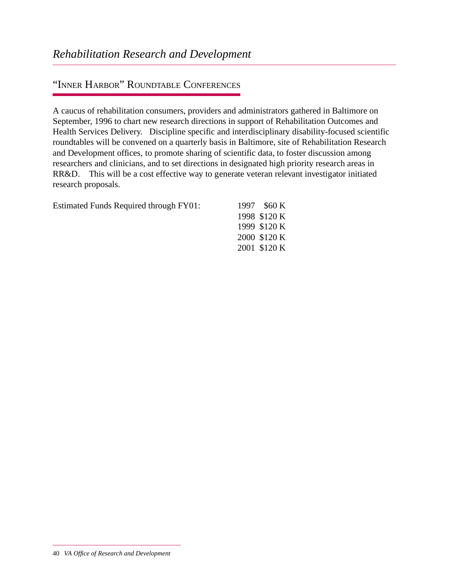### "INNER HARBOR" ROUNDTABLE CONFERENCES

A caucus of rehabilitation consumers, providers and administrators gathered in Baltimore on September, 1996 to chart new research directions in support of Rehabilitation Outcomes and Health Services Delivery. Discipline specific and interdisciplinary disability-focused scientific roundtables will be convened on a quarterly basis in Baltimore, site of Rehabilitation Research and Development offices, to promote sharing of scientific data, to foster discussion among researchers and clinicians, and to set directions in designated high priority research areas in RR&D. This will be a cost effective way to generate veteran relevant investigator initiated research proposals.

| Estimated Funds Required through FY01: | 1997 \$60 K  |
|----------------------------------------|--------------|
|                                        | 1998 \$120 K |
|                                        | 1999 \$120 K |
|                                        | 2000 \$120 K |
|                                        | 2001 \$120 K |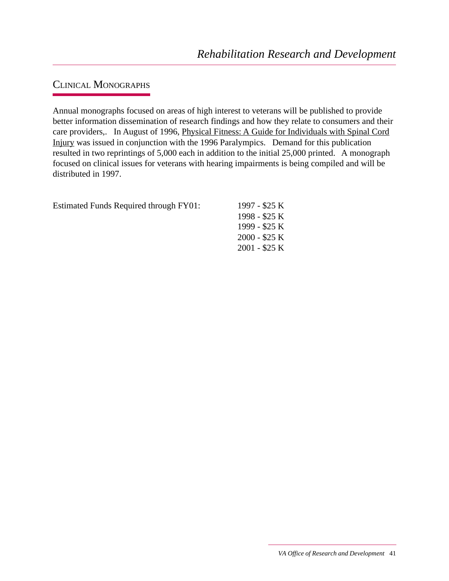### CLINICAL MONOGRAPHS

Annual monographs focused on areas of high interest to veterans will be published to provide better information dissemination of research findings and how they relate to consumers and their care providers,. In August of 1996, Physical Fitness: A Guide for Individuals with Spinal Cord Injury was issued in conjunction with the 1996 Paralympics. Demand for this publication resulted in two reprintings of 5,000 each in addition to the initial 25,000 printed. A monograph focused on clinical issues for veterans with hearing impairments is being compiled and will be distributed in 1997.

| <b>Estimated Funds Required through FY01:</b> | 1997 - \$25 K  |
|-----------------------------------------------|----------------|
|                                               | 1998 - \$25 K  |
|                                               | 1999 - \$25 K  |
|                                               | $2000 - $25K$  |
|                                               | $2001 - $25$ K |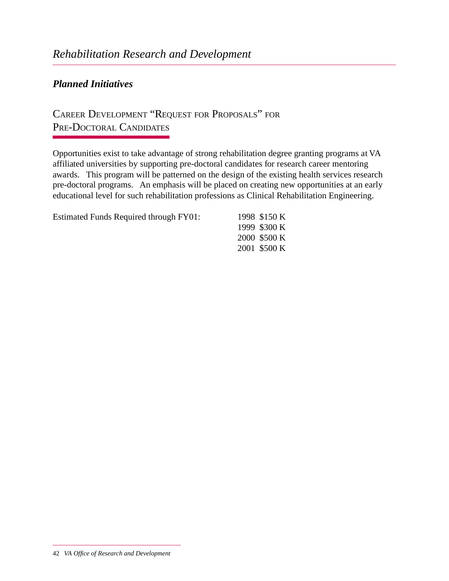#### *Planned Initiatives*

## CAREER DEVELOPMENT "REQUEST FOR PROPOSALS" FOR PRE-DOCTORAL CANDIDATES

Opportunities exist to take advantage of strong rehabilitation degree granting programs at VA affiliated universities by supporting pre-doctoral candidates for research career mentoring awards. This program will be patterned on the design of the existing health services research pre-doctoral programs. An emphasis will be placed on creating new opportunities at an early educational level for such rehabilitation professions as Clinical Rehabilitation Engineering.

| <b>Estimated Funds Required through FY01:</b> | 1998 \$150 K |
|-----------------------------------------------|--------------|
|                                               | 1999 \$300 K |
|                                               | 2000 \$500 K |
|                                               | 2001 \$500 K |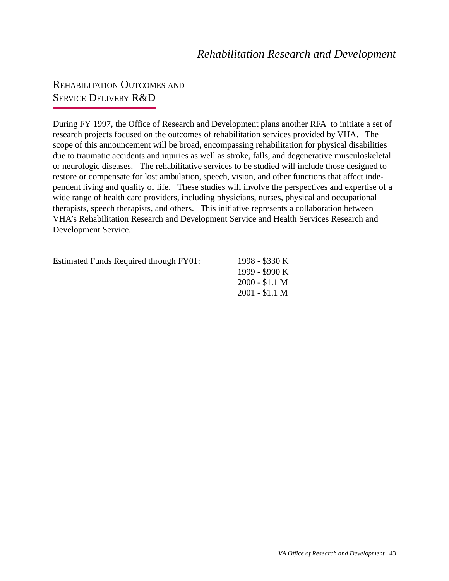### REHABILITATION OUTCOMES AND SERVICE DELIVERY R&D

During FY 1997, the Office of Research and Development plans another RFA to initiate a set of research projects focused on the outcomes of rehabilitation services provided by VHA. The scope of this announcement will be broad, encompassing rehabilitation for physical disabilities due to traumatic accidents and injuries as well as stroke, falls, and degenerative musculoskeletal or neurologic diseases. The rehabilitative services to be studied will include those designed to restore or compensate for lost ambulation, speech, vision, and other functions that affect independent living and quality of life. These studies will involve the perspectives and expertise of a wide range of health care providers, including physicians, nurses, physical and occupational therapists, speech therapists, and others. This initiative represents a collaboration between VHA's Rehabilitation Research and Development Service and Health Services Research and Development Service.

| <b>Estimated Funds Required through FY01:</b> |  |  |  |
|-----------------------------------------------|--|--|--|
|-----------------------------------------------|--|--|--|

1998 - \$330 K 1999 - \$990 K 2000 - \$1.1 M 2001 - \$1.1 M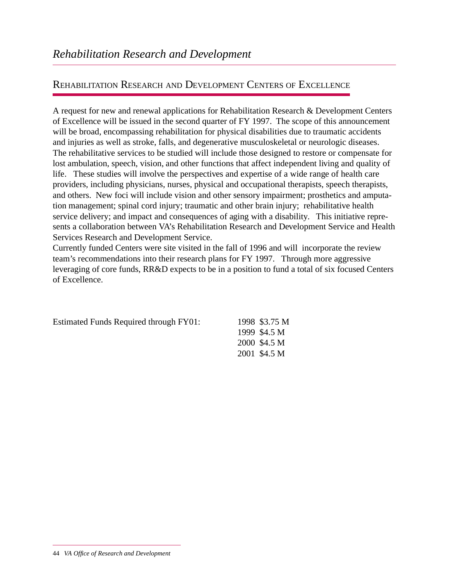#### REHABILITATION RESEARCH AND DEVELOPMENT CENTERS OF EXCELLENCE

A request for new and renewal applications for Rehabilitation Research & Development Centers of Excellence will be issued in the second quarter of FY 1997. The scope of this announcement will be broad, encompassing rehabilitation for physical disabilities due to traumatic accidents and injuries as well as stroke, falls, and degenerative musculoskeletal or neurologic diseases. The rehabilitative services to be studied will include those designed to restore or compensate for lost ambulation, speech, vision, and other functions that affect independent living and quality of life. These studies will involve the perspectives and expertise of a wide range of health care providers, including physicians, nurses, physical and occupational therapists, speech therapists, and others. New foci will include vision and other sensory impairment; prosthetics and amputation management; spinal cord injury; traumatic and other brain injury; rehabilitative health service delivery; and impact and consequences of aging with a disability. This initiative represents a collaboration between VA's Rehabilitation Research and Development Service and Health Services Research and Development Service.

Currently funded Centers were site visited in the fall of 1996 and will incorporate the review team's recommendations into their research plans for FY 1997. Through more aggressive leveraging of core funds, RR&D expects to be in a position to fund a total of six focused Centers of Excellence.

| <b>Estimated Funds Required through FY01:</b> | 1998 \$3.75 M |
|-----------------------------------------------|---------------|
|                                               | 1999 \$4.5 M  |
|                                               | 2000 \$4.5 M  |
|                                               | 2001 \$4.5 M  |
|                                               |               |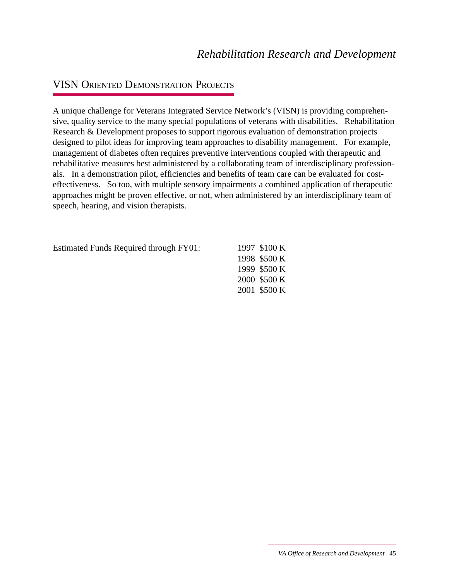### VISN ORIENTED DEMONSTRATION PROJECTS

A unique challenge for Veterans Integrated Service Network's (VISN) is providing comprehensive, quality service to the many special populations of veterans with disabilities. Rehabilitation Research & Development proposes to support rigorous evaluation of demonstration projects designed to pilot ideas for improving team approaches to disability management. For example, management of diabetes often requires preventive interventions coupled with therapeutic and rehabilitative measures best administered by a collaborating team of interdisciplinary professionals. In a demonstration pilot, efficiencies and benefits of team care can be evaluated for costeffectiveness. So too, with multiple sensory impairments a combined application of therapeutic approaches might be proven effective, or not, when administered by an interdisciplinary team of speech, hearing, and vision therapists.

Estimated Funds Required through FY01: 1997 \$100 K

1998 \$500 K 1999 \$500 K 2000 \$500 K 2001 \$500 K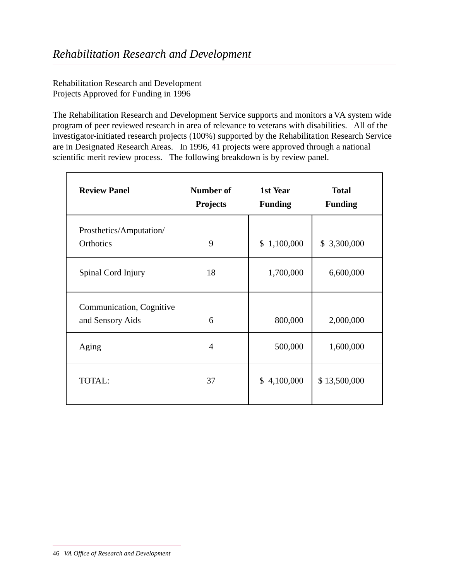Rehabilitation Research and Development Projects Approved for Funding in 1996

The Rehabilitation Research and Development Service supports and monitors a VA system wide program of peer reviewed research in area of relevance to veterans with disabilities. All of the investigator-initiated research projects (100%) supported by the Rehabilitation Research Service are in Designated Research Areas. In 1996, 41 projects were approved through a national scientific merit review process. The following breakdown is by review panel.

| <b>Review Panel</b>                          | Number of<br><b>Projects</b> | 1st Year<br><b>Funding</b> | <b>Total</b><br><b>Funding</b> |
|----------------------------------------------|------------------------------|----------------------------|--------------------------------|
| Prosthetics/Amputation/<br>Orthotics         | 9                            | \$1,100,000                | \$3,300,000                    |
| Spinal Cord Injury                           | 18                           | 1,700,000                  | 6,600,000                      |
| Communication, Cognitive<br>and Sensory Aids | 6                            | 800,000                    | 2,000,000                      |
| Aging                                        | 4                            | 500,000                    | 1,600,000                      |
| TOTAL:                                       | 37                           | \$4,100,000                | \$13,500,000                   |